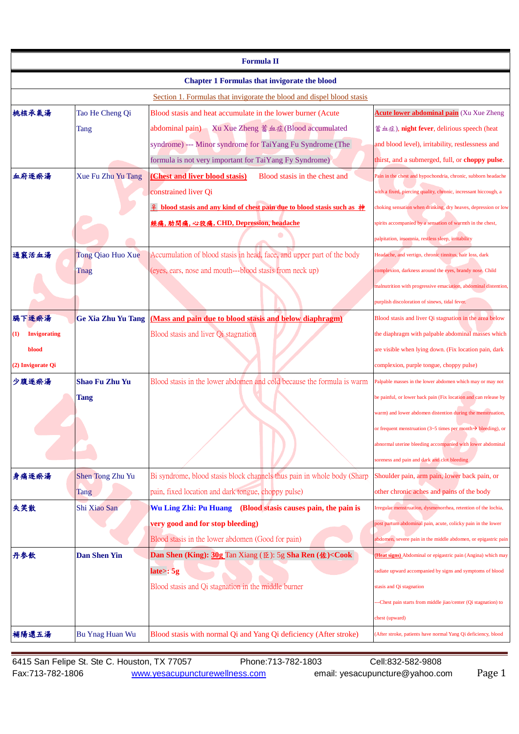| <b>Formula II</b>                 |                           |                                                                                                                                               |                                                                           |
|-----------------------------------|---------------------------|-----------------------------------------------------------------------------------------------------------------------------------------------|---------------------------------------------------------------------------|
|                                   |                           | <b>Chapter 1 Formulas that invigorate the blood</b>                                                                                           |                                                                           |
|                                   |                           | Section 1. Formulas that invigorate the blood and dispel blood stasis                                                                         |                                                                           |
| 桃核承氣湯                             | Tao He Cheng Qi           | Blood stasis and heat accumulate in the lower burner (Acute                                                                                   | <b>Acute lower abdominal pain</b> (Xu Xue Zheng                           |
|                                   | Tang                      | abdominal pain) Xu Xue Zheng 蓄血症(Blood accumulated                                                                                            | 蓄血症), night fever, delirious speech (heat                                 |
|                                   |                           | syndrome) --- Minor syndrome for TaiYang Fu Syndrome (The                                                                                     | and blood level), irritability, restlessness and                          |
|                                   |                           | formula is not very important for TaiYang Fy Syndrome)                                                                                        | thirst, and a submerged, full, or <b>choppy pulse</b> .                   |
| 血府逐瘀湯                             | Xue Fu Zhu Yu Tang        | (Chest and liver blood stasis)<br>Blood stasis in the chest and                                                                               | Pain in the chest and hypochondria, chronic, subborn headache             |
|                                   |                           | constrained liver Qi                                                                                                                          | with a fixed, piercing quality, chronic, incressant hiccough, a           |
|                                   |                           | <u>original planets and a set of the set pain due to blood stasis such as 神</u>                                                               | choking sensation when drinking, dry heaves, depression or low            |
|                                   |                           | 經痛, 肋間痛, 心狡痛, CHD, Depression, headache                                                                                                       | spirits accompanied by a sensation of warmth in the chest,                |
|                                   |                           |                                                                                                                                               | palpitation, insomnia, restless sleep, irritability                       |
| 通竅活血湯                             | Tong Qiao Huo Xue         | Accumulation of blood stasis in head, face, and upper part of the body                                                                        | Headache, and vertigo, chronic tinnitus, hair loss, dark                  |
|                                   | Tnag                      | (eyes, ears, nose and mouth---blood stasis from neck up)                                                                                      | complexion, darkness around the eyes, brandy nose. Child                  |
|                                   |                           |                                                                                                                                               | malnutrition with progressive emaciation, abdominal distention,           |
|                                   |                           |                                                                                                                                               | purplish discoloration of sinews, tidal fever.                            |
| 膈下逐瘀湯                             | <b>Ge Xia Zhu Yu Tang</b> | (Mass and pain due to blood stasis and below diaphragm)                                                                                       | Blood stasis and liver Qi stagnation in the area below                    |
| <b>Invigorating</b><br>$\bf{(1)}$ |                           | Blood stasis and liver Qi stagnation                                                                                                          | the diaphragm with palpable abdominal masses which                        |
| blood                             |                           |                                                                                                                                               | are visible when lying down. (Fix location pain, dark                     |
| (2) Invigorate Qi                 |                           |                                                                                                                                               | complexion, purple tongue, choppy pulse)                                  |
| 少腹逐瘀湯                             | <b>Shao Fu Zhu Yu</b>     | Blood stasis in the lower abdomen and cold because the formula is warm                                                                        | Palpable masses in the lower abdomen which may or may not                 |
|                                   | Tang                      |                                                                                                                                               | be painful, or lower back pain (Fix location and can release by           |
|                                   |                           |                                                                                                                                               | warm) and lower abdomen distention during the menstruation,               |
|                                   |                           |                                                                                                                                               | or frequent menstruation (3~5 times per month $\rightarrow$ bleeding), or |
|                                   |                           |                                                                                                                                               | abnormal uterine bleeding accompanied with lower abdominal                |
|                                   |                           |                                                                                                                                               | soreness and pain and dark and clot bleeding                              |
| 身痛逐瘀湯                             | Shen Tong Zhu Yu          | Bi syndrome, blood stasis block channels thus pain in whole body (Sharp                                                                       | Shoulder pain, arm pain, lower back pain, or                              |
|                                   | <b>Tang</b>               | pain, fixed location and dark tongue, choppy pulse)                                                                                           | other chronic aches and pains of the body                                 |
| 失笑散                               | Shi Xiao San              | Wu Ling Zhi: Pu Huang (Blood stasis causes pain, the pain is                                                                                  | Irregular menstruation, dysmenorrhea, retention of the lochia,            |
|                                   |                           | very good and for stop bleeding)                                                                                                              | post partum abdominal pain, acute, colicky pain in the lower              |
|                                   |                           | Blood stasis in the lower abdomen (Good for pain)                                                                                             | abdomen, severe pain in the middle abdomen, or epigastric pain            |
| 丹参飲                               | <b>Dan Shen Yin</b>       | Dan Shen (King): 30g Tan Xiang (臣): 5g Sha Ren (佐) <cook< th=""><th>(Heat signs) Abdominal or epigastric pain (Angina) which may</th></cook<> | (Heat signs) Abdominal or epigastric pain (Angina) which may              |
|                                   |                           | $\text{late}>: 5g$                                                                                                                            | radiate upward accompanied by signs and symptoms of blood                 |
|                                   |                           | Blood stasis and Qi stagnation in the middle burner                                                                                           | stasis and Qi stagnation                                                  |
|                                   |                           |                                                                                                                                               | --Chest pain starts from middle jiao/center (Qi stagnation) to            |
|                                   |                           |                                                                                                                                               | chest (upward)                                                            |
| 補陽還五湯                             | <b>Bu Ynag Huan Wu</b>    | Blood stasis with normal Qi and Yang Qi deficiency (After stroke)                                                                             | (After stroke, patients have normal Yang Qi deficiency, blood             |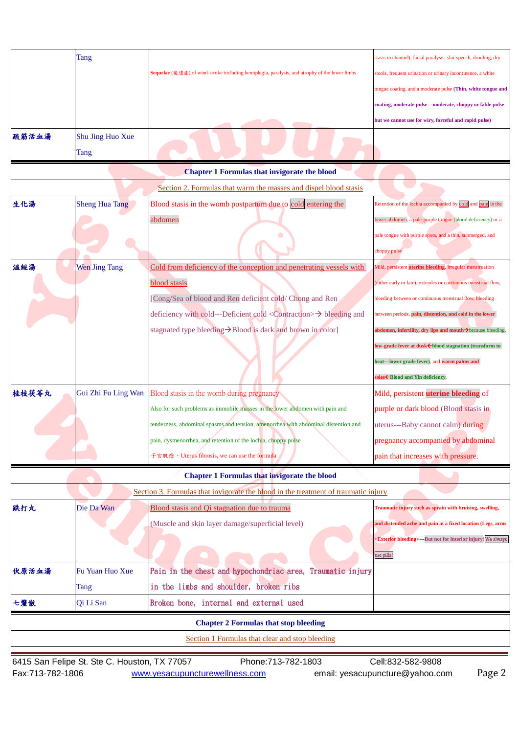|       | Tang                  |                                                                                               | stasis in channel), facial paralysis, slur speech, drooling, dry |
|-------|-----------------------|-----------------------------------------------------------------------------------------------|------------------------------------------------------------------|
|       |                       | Sequelae (後遺症) of wind-stroke including hemiplegia, paralysis, and atrophy of the lower limbs | stools, frequent urination or urinary incontinence, a white      |
|       |                       |                                                                                               | ongue coating, and a moderate pulse (Thin, white tongue and      |
|       |                       |                                                                                               | coating, moderate pulse---moderate, choppy or fable pulse        |
|       |                       |                                                                                               | but we cannot use for wiry, forceful and rapid pulse)            |
| 疏筋活血湯 | Shu Jing Huo Xue      |                                                                                               |                                                                  |
|       | Tang                  |                                                                                               |                                                                  |
|       |                       | <b>Chapter 1 Formulas that invigorate the blood</b>                                           |                                                                  |
|       |                       | Section 2. Formulas that warm the masses and dispel blood stasis                              |                                                                  |
| 生化湯   | <b>Sheng Hua Tang</b> | Blood stasis in the womb postpartum due to cold entering the                                  | Retention of the lochia accompanied by cold and pain in the      |
|       |                       | abdomen                                                                                       | ower abdomen, a pale-purple tongue (blood deficiency) or a       |
|       |                       |                                                                                               | pale tongue with purple spots, and a thin, submerged, and        |
|       |                       |                                                                                               | choppy pulse                                                     |
| 温經湯   | Wen Jing Tang         | Cold from deficiency of the conception and penetrating vessels with                           | Mild, persistent uterine bleeding, irregular menstruation        |
|       |                       | <b>blood</b> stasis                                                                           | either early or late), extendes or continuous menstrual flow,    |
|       |                       | [Cong/Sea of blood and Ren deficient cold/ Chong and Ren                                      | bleeding between or continuous menstrual flow, bleeding          |
|       |                       | deficiency with cold---Deficient cold <contraction>→ bleeding and</contraction>               | between periods, pain, distention, and cold in the lower         |
|       |                       | stagnated type bleeding→Blood is dark and brown in color]                                     | abdomen, infertility, dry lips and mouth > because bleeding.     |
|       |                       |                                                                                               | ow-grade fever at dusk←blood stagnation (transform to            |
|       |                       |                                                                                               | heat---lower grade fever), and warm palms and                    |
|       |                       |                                                                                               | soles ← Blood and Yin deficiency.                                |
| 桂枝茯苓丸 | Gui Zhi Fu Ling Wan   | Blood stasis in the womb during pregnancy                                                     | Mild, persistent uterine bleeding of                             |
|       |                       | Also for such problems as immobile masses in the lower abdomen with pain and                  | purple or dark blood (Blood stasis in                            |
|       |                       | tenderness, abdominal spasms and tension, amenorrhea with abdominal distention and            | uterus---Baby cannot calm) during                                |
|       |                       | pain, dysmenorrhea, and retention of the lochia, choppy pulse                                 | pregnancy accompanied by abdominal                               |
|       |                       | 子宮肌瘤、Uterus fibrosis, we can use the formula                                                  | pain that increases with pressure.                               |
|       |                       | <b>Chapter 1 Formulas that invigorate the blood</b>                                           |                                                                  |
|       |                       | Section 3. Formulas that invigorate the blood in the treatment of traumatic injury            |                                                                  |
| 跌打丸   | Die Da Wan            | Blood stasis and Qi stagnation due to trauma                                                  | Traumatic injury such as sprain with bruising, swelling,         |
|       |                       | (Muscle and skin layer damage/superficial level)                                              | and distended ache and pain at a fixed location (Legs, arms      |
|       |                       |                                                                                               | Exterior bleeding>---But not for interior injury) We always      |
|       |                       |                                                                                               | use pills!                                                       |
| 伏原活血湯 | Fu Yuan Huo Xue       | Pain in the chest and hypochondriac area, Traumatic injury                                    |                                                                  |
|       | Tang                  | in the limbs and shoulder, broken ribs                                                        |                                                                  |
| 七釐散   | Qi Li San             | Broken bone, internal and external used                                                       |                                                                  |
|       |                       | <b>Chapter 2 Formulas that stop bleeding</b>                                                  |                                                                  |
|       |                       | Section 1 Formulas that clear and stop bleeding                                               |                                                                  |
|       |                       |                                                                                               |                                                                  |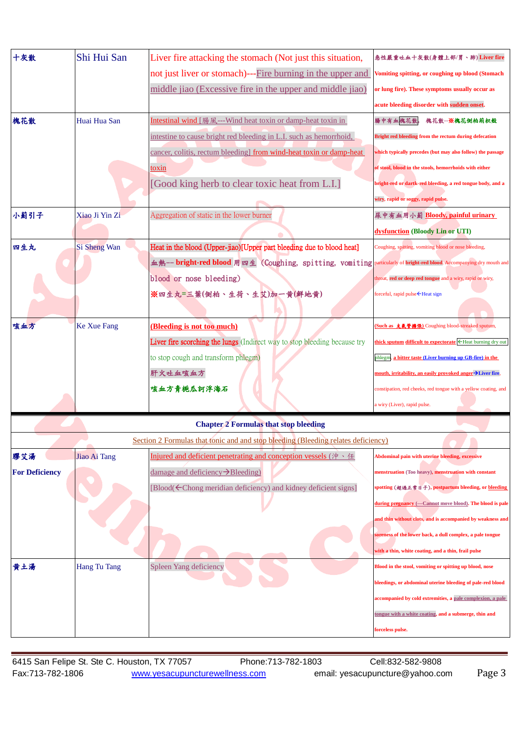| 十灰散                   | Shi Hui San         | Liver fire attacking the stomach (Not just this situation,                                                           | 急性嚴重吐血十灰散(身體上部/胃、肺) Liver fire                                                     |
|-----------------------|---------------------|----------------------------------------------------------------------------------------------------------------------|------------------------------------------------------------------------------------|
|                       |                     | not just liver or stomach)---Fire burning in the upper and                                                           | Vomiting spitting, or coughing up blood (Stomach                                   |
|                       |                     | middle jiao (Excessive fire in the upper and middle jiao)                                                            | or lung fire). These symptoms usually occur as                                     |
|                       |                     |                                                                                                                      | acute bleeding disorder with sudden onset.                                         |
| 槐花散                   | Huai Hua San        | Intestinal wind [腸風---Wind heat toxin or damp-heat toxin in                                                          | 赐中有血槐花散,<br>槐花散--※槐花侧柏莉枳殼                                                          |
|                       |                     | intestine to cause bright red bleeding in L.I. such as hemorrhoid,                                                   | Bright red bleeding from the rectum during defecation                              |
|                       |                     | cancer, colitis, rectum bleeding] from wind-heat toxin or damp-heat                                                  | which typically precedes (but may also follow) the passage                         |
|                       |                     | toxin                                                                                                                | of stool, blood in the stools, hemorrhoids with either                             |
|                       |                     | [Good king herb to clear toxic heat from L.I.]                                                                       | bright-red or dartk-red bleeding, a red tongue body, and a                         |
|                       |                     |                                                                                                                      | wiry, rapid or soggy, rapid pulse.                                                 |
| 小薊引子                  | Xiao Ji Yin Zi      | Aggregation of static in the lower burner                                                                            | 尿中有血用小薊 Bloody, painful urinary                                                    |
|                       |                     |                                                                                                                      | dysfunction (Bloody Lin or UTI)                                                    |
| 四生丸                   | <b>Si Sheng Wan</b> | Heat in the blood (Upper-jiao)[Upper part bleeding due to blood heat]                                                | Coughing, spitting, vomiting blood or nose bleeding,                               |
|                       |                     | 血熱-- bright-red blood 用四生 (Coughing, spitting, vomiting particularly of bright-red blood. Accompanying dry mouth and |                                                                                    |
|                       |                     | blood or nose bleeding)                                                                                              | throat, red or deep red tongue and a wiry, rapid or wiry,                          |
|                       |                     | ※四生丸=三葉(側柏、生荷、生艾)加一黄(鮮地黄)                                                                                            | forceful, rapid pulse ← Heat sign                                                  |
|                       |                     |                                                                                                                      |                                                                                    |
| 咳血方                   | <b>Ke Xue Fang</b>  | (Bleeding is not too much)                                                                                           | [Such as 支氣管擴張] Coughing blood-streaked sputum,                                    |
|                       |                     | Liver fire scorching the lungs (Indirect way to stop bleeding because try                                            | hick sputum difficult to expectorate <heat burning="" dry="" out<="" th=""></heat> |
|                       |                     | to stop cough and transform phlegm)                                                                                  | phlegm, a bitter taste (Liver burning up GB-fire) in the                           |
|                       |                     | 肝火吐血咳血方                                                                                                              | nouth, irritability, an easily provoked anger→Liver fire,                          |
|                       |                     | 咳血方青梔瓜訶浮海石                                                                                                           | constipation, red cheeks, red tongue with a yellow coating, and                    |
|                       |                     |                                                                                                                      | wiry (Liver), rapid pulse.                                                         |
|                       |                     | <b>Chapter 2 Formulas that stop bleeding</b>                                                                         |                                                                                    |
|                       |                     | Section 2 Formulas that tonic and and stop bleeding (Bleeding relates deficiency)                                    |                                                                                    |
| 膠艾湯                   | Jiao Ai Tang        | Injured and deficient penetrating and conception vessels $(\forall \uparrow \land \text{f} \in \mathbb{R})$          | Abdominal pain with uterine bleeding, excessive                                    |
| <b>For Deficiency</b> |                     | damage and deficiency→Bleeding)                                                                                      | menstruation (Too heavy), menstruation with constant                               |
|                       |                     | [Blood(←Chong meridian deficiency) and kidney deficient signs]                                                       | spotting (超過正常日子), postpartum bleeding, or bleeding                                |
|                       |                     |                                                                                                                      | during pregnancy (---Cannot move blood). The blood is pale                         |
|                       |                     |                                                                                                                      | and thin without clots, and is accompanied by weakness and                         |
|                       |                     |                                                                                                                      | oreness of the lower back, a dull complex, a pale tongue                           |
|                       |                     |                                                                                                                      | with a thin, white coating, and a thin, frail pulse                                |
| 黄土湯                   | <b>Hang Tu Tang</b> | Spleen Yang deficiency                                                                                               | Blood in the stool, vomiting or spitting up blood, nose                            |
|                       |                     |                                                                                                                      | bleedings, or abdominal uterine bleeding of pale-red blood                         |
|                       |                     |                                                                                                                      | accompanied by cold extremities, a pale complexion, a pale                         |
|                       |                     |                                                                                                                      | tongue with a white coating, and a submerge, thin and                              |
|                       |                     |                                                                                                                      | forceless pulse.                                                                   |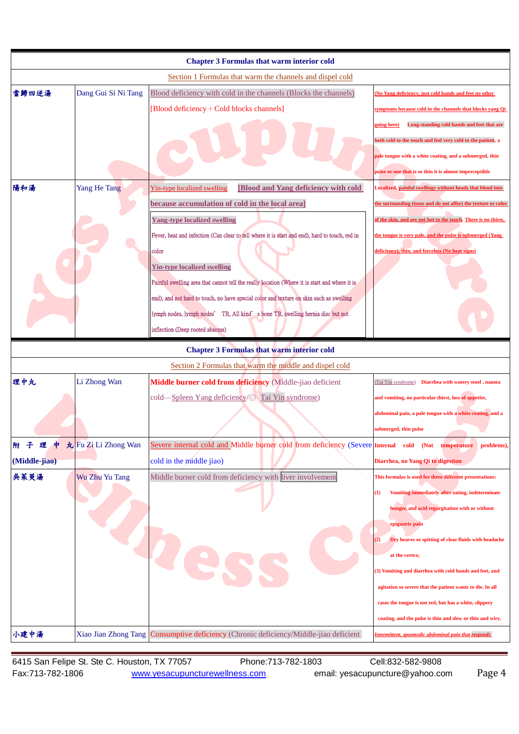|               | <b>Chapter 3 Formulas that warm interior cold</b>         |                                                                                                    |                                                                                                                                                                                     |  |
|---------------|-----------------------------------------------------------|----------------------------------------------------------------------------------------------------|-------------------------------------------------------------------------------------------------------------------------------------------------------------------------------------|--|
|               | Section 1 Formulas that warm the channels and dispel cold |                                                                                                    |                                                                                                                                                                                     |  |
| 當歸四逆湯         | Dang Gui Si Ni Tang                                       | Blood deficiency with cold in the channels (Blocks the channels)                                   | No Yang deficiency, just cold hands and feet no other                                                                                                                               |  |
|               |                                                           | [Blood deficiency + Cold blocks channels]                                                          | symptoms because cold in the channels that blocks yang Oi                                                                                                                           |  |
|               |                                                           |                                                                                                    | Long-standing cold hands and feet that are<br>zoing here)<br>both cold to the touch and feel very cold to the patient, a<br>pale tongue with a white coating, and a submerged, thin |  |
|               |                                                           |                                                                                                    | pulse or one that is so thin it is almost imperceptible                                                                                                                             |  |
| 陽和湯           | <b>Yang He Tang</b>                                       | <b>[Blood and Yang deficiency with cold</b><br>Yin-type localized swelling                         | Localized, painful swellings without heads that blend into                                                                                                                          |  |
|               |                                                           | because accumulation of cold in the local area]                                                    | the surrounding tissue and do not affect the texture or color                                                                                                                       |  |
|               |                                                           | <b>Yang-type localized swelling</b>                                                                | of the skin, and are not hot to the touch. There is no thirst,                                                                                                                      |  |
|               |                                                           | Fever, heat and infection (Can clear to tell where it is start and end), hard to touch, red in     | the tongue is very pale, and the pulse is submerged (Yang                                                                                                                           |  |
|               |                                                           | color                                                                                              | deficiency), thin, and forceless (No heat signs)                                                                                                                                    |  |
|               |                                                           | <b>Yin-type localized swelling</b>                                                                 |                                                                                                                                                                                     |  |
|               |                                                           | Painful swelling area that cannot tell the really location (Where it is start and where it is      |                                                                                                                                                                                     |  |
|               |                                                           | end), and not hard to touch, no have special color and texture on skin such as swelling            |                                                                                                                                                                                     |  |
|               |                                                           | lymph nodes, lymph nodes' TB, All kind's bone TB, swelling hernia disc but not                     |                                                                                                                                                                                     |  |
|               |                                                           | inflection (Deep rooted abscess)                                                                   |                                                                                                                                                                                     |  |
|               |                                                           | <b>Chapter 3 Formulas that warm interior cold</b>                                                  |                                                                                                                                                                                     |  |
|               |                                                           | Section 2 Formulas that warm the middle and dispel cold                                            |                                                                                                                                                                                     |  |
| 理中丸           | Li Zhong Wan                                              | Middle burner cold from deficiency (Middle-jiao deficient                                          | Tai Yin syndrome) Diarrhea with watery stool, nausea                                                                                                                                |  |
|               |                                                           | cold—Spleen Yang deficiency/ <sup>(2)</sup> Tai Yin syndrome)                                      | and vomiting, no particular thirst, loss of appetite,                                                                                                                               |  |
|               |                                                           |                                                                                                    | abdominal pain, a pale tongue with a white coating, and a                                                                                                                           |  |
|               |                                                           |                                                                                                    | submerged, thin pulse                                                                                                                                                               |  |
| 附子理中          | 丸 Fu Zi Li Zhong Wan                                      | Severe internal cold and Middle burner cold from deficiency (Severe Internal cold (Not temperature | problems),                                                                                                                                                                          |  |
| (Middle-jiao) |                                                           | cold in the middle jiao)                                                                           | Diarrhea, no Yang Qi to digestion                                                                                                                                                   |  |
| 吳茱萸湯          | Wu Zhu Yu Tang                                            | Middle burner cold from deficiency with liver involvement                                          | This formulas is used for three different presentations:                                                                                                                            |  |
|               |                                                           |                                                                                                    | Vomiting immediately after eating, indeterminate<br>(1)                                                                                                                             |  |
|               |                                                           |                                                                                                    | hunger, and acid regurgitation with or without                                                                                                                                      |  |
|               |                                                           |                                                                                                    | epigastric pain                                                                                                                                                                     |  |
|               |                                                           |                                                                                                    | Dry heaves or spitting of clear fluids with headache<br>$\bf(2)$                                                                                                                    |  |
|               |                                                           |                                                                                                    | at the vertex;                                                                                                                                                                      |  |
|               |                                                           |                                                                                                    | (3) Vomiting and diarrhea with cold hands and feet, and                                                                                                                             |  |
|               |                                                           |                                                                                                    | agitation so severe that the patient wants to die. In all                                                                                                                           |  |
|               |                                                           |                                                                                                    | cases the tongue is not red, but has a white, slippery                                                                                                                              |  |
|               |                                                           |                                                                                                    | coating, and the pulse is thin and slow or thin and wiry.                                                                                                                           |  |
| 小建中湯          |                                                           | Xiao Jian Zhong Tang Consumptive deficiency (Chronic deficiency/Middle-jiao deficient              | Intermittent, spasmodic abdominal pain that responds                                                                                                                                |  |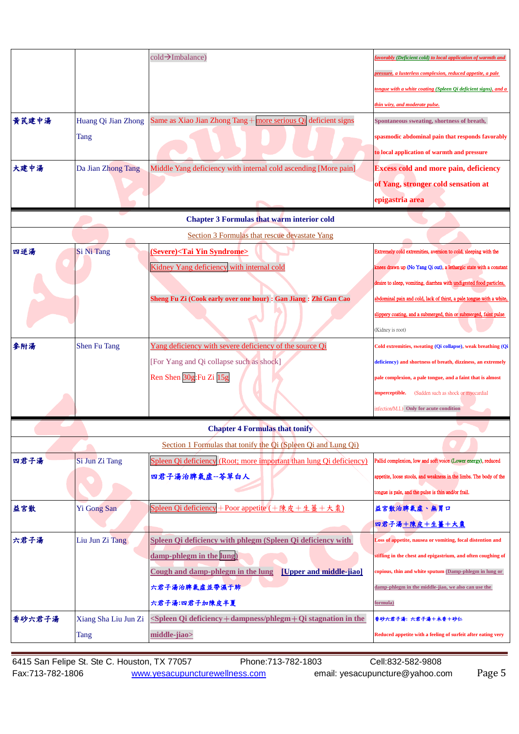|        |                      | $\text{cold}\rightarrow\text{Imbalance}$                                                                                      | <b>Cavorably</b> (Deficient cold) to local application of warmth and |
|--------|----------------------|-------------------------------------------------------------------------------------------------------------------------------|----------------------------------------------------------------------|
|        |                      |                                                                                                                               | pressure, a lusterless complexion, reduced appetite, a pale          |
|        |                      |                                                                                                                               | tongue with a white coating (Spleen Oi deficient signs), and a       |
|        |                      |                                                                                                                               | thin wiry, and moderate pulse.                                       |
| 黄芪建中湯  | Huang Qi Jian Zhong  | Same as Xiao Jian Zhong Tang + more serious Qi deficient signs                                                                | Spontaneous sweating, shortness of breath,                           |
|        | Tang                 |                                                                                                                               | spasmodic abdominal pain that responds favorably                     |
|        |                      |                                                                                                                               | to local application of warmth and pressure                          |
| 大建中湯   | Da Jian Zhong Tang   | Middle Yang deficiency with internal cold ascending [More pain]                                                               | <b>Excess cold and more pain, deficiency</b>                         |
|        |                      |                                                                                                                               | of Yang, stronger cold sensation at                                  |
|        |                      |                                                                                                                               | epigastria area                                                      |
|        |                      | <b>Chapter 3 Formulas that warm interior cold</b>                                                                             |                                                                      |
|        |                      | Section 3 Formulas that rescue devastate Yang                                                                                 |                                                                      |
| 四逆湯    | Si Ni Tang           | (Severe) <tai syndrome="" yin=""></tai>                                                                                       | Extremely cold extremities, aversion to cold, sleeping with the      |
|        |                      | Kidney Yang deficiency with internal cold                                                                                     | mees drawn up (No Yang Qi out), a lethargic state with a constant    |
|        |                      |                                                                                                                               | desire to sleep, vomiting, diarrhea with undigested food particles,  |
|        |                      | Sheng Fu Zi (Cook early over one hour) : Gan Jiang : Zhi Gan Cao                                                              | abdominal pain and cold, lack of thirst, a pale tongue with a white, |
|        |                      |                                                                                                                               | slippery coating, and a submerged, thin or submerged, faint pulse    |
|        |                      |                                                                                                                               | (Kidney is root)                                                     |
| 參附湯    | Shen Fu Tang         | Yang deficiency with severe deficiency of the source Qi                                                                       | Cold extremities, sweating (Qi collapse), weak breathing (Qi         |
|        |                      | [For Yang and Qi collapse such as shock]                                                                                      | deficiency) and shortness of breath, dizziness, an extremely         |
|        |                      | Ren Shen 30g: Fu Zi 15g                                                                                                       | pale complexion, a pale tongue, and a faint that is almost           |
|        |                      |                                                                                                                               | imperceptible.<br>(Sudden such as shock or myocardial                |
|        |                      |                                                                                                                               | infection/M.I.) Only for acute condition                             |
|        |                      | <b>Chapter 4 Formulas that tonify</b>                                                                                         |                                                                      |
|        |                      | Section 1 Formulas that tonify the Qi (Spleen Qi and Lung Qi)                                                                 |                                                                      |
| 四君子湯   | Si Jun Zi Tang       | Spleen Qi deficiency (Root; more important than lung Qi deficiency)                                                           | Pallid complexion, low and soft voice (Lower energy), reduced        |
|        |                      | 四君子湯治脾氣虛--苓草白人                                                                                                                | appetite, loose stools, and weakness in the limbs. The body of the   |
|        |                      |                                                                                                                               | tongue is pale, and the pulse is thin and/or frail.                  |
| 益宮散    | <b>Yi Gong San</b>   | Spleen Qi deficiency + Poor appetite $(+$ 陳皮+生薑+大棗)                                                                           | 益宮散治脾氣虛、無胃口                                                          |
|        |                      |                                                                                                                               | 四君子湯+陳皮+生薑+大棗                                                        |
| 六君子湯   | Liu Jun Zi Tang      | Spleen Qi deficiency with phlegm (Spleen Qi deficiency with                                                                   | Loss of appetite, nausea or vomiting, focal distention and           |
|        |                      | damp-phlegm in the lung)                                                                                                      | stifling in the chest and epigastrium, and often coughing of         |
|        |                      | Cough and damp-phlegm in the lung<br>[Upper and middle-jiao]                                                                  | copious, thin and white sputum (Damp-phlegm in lung or               |
|        |                      | 六君子湯治脾氣虛並帶濕于肺                                                                                                                 | damp-phlegm in the middle-jiao, we also can use the                  |
|        |                      | 六君子湯:四君子加陳皮半夏                                                                                                                 | formula)                                                             |
| 香砂六君子湯 | Xiang Sha Liu Jun Zi | <spleen +="" dampness="" deficiency="" in="" phlegm="" qi="" stagnation="" th="" the<=""><th>香砂六君子湯: 六君子湯+木香+砂仁</th></spleen> | 香砂六君子湯: 六君子湯+木香+砂仁                                                   |
|        | Tang                 | middle-jiao>                                                                                                                  | Reduced appetite with a feeling of surfeit after eating very         |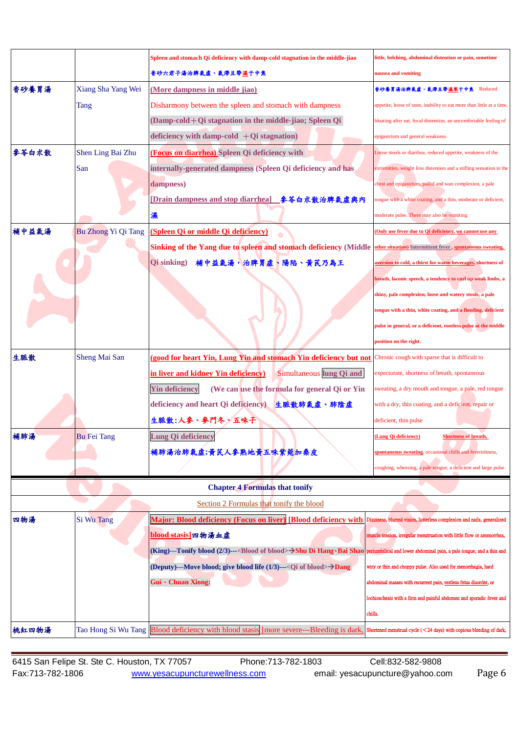|       |                     | Spleen and stomach Qi deficiency with damp-cold stagnation in the middle-jiao                                                                                                      | little, belching, abdominal distention or pain, sometime               |
|-------|---------------------|------------------------------------------------------------------------------------------------------------------------------------------------------------------------------------|------------------------------------------------------------------------|
|       |                     | 香砂六君子湯治脾氣盧丶氣滯且帶 <u>濕</u> 于中焦                                                                                                                                                       | nausea and vomiting                                                    |
| 香砂養胃湯 | Xiang Sha Yang Wei  | (More dampness in middle jiao)                                                                                                                                                     | 香砂養胃湯治脾氣虛、氣滯且帶濕寒于中焦 Reduced                                            |
|       | Tang                | Disharmony between the spleen and stomach with dampness                                                                                                                            | appetite, loose of taste, inability to eat more than little at a time, |
|       |                     | (Damp-cold + Qi stagnation in the middle-jiao; Spleen Qi                                                                                                                           | bloating after eat, focal distention, an uncomfortable feeling of      |
|       |                     | deficiency with damp-cold $+Q$ i stagnation)                                                                                                                                       | epigastrium and general weakness.                                      |
| 参苓白朮散 | Shen Ling Bai Zhu   | (Focus on diarrhea) Spleen Qi deficiency with                                                                                                                                      | Loose stools or diarrhea, reduced appetite, weakness of the            |
|       | San                 | internally-generated dampness (Spleen Qi deficiency and has                                                                                                                        | extremities, weight loss distention and a stifling sensation in the    |
|       |                     | dampness)                                                                                                                                                                          | chest and epigastrium, pallid and wan complexion, a pale               |
|       |                     | [Drain dampness and stop diarrhea]__参苓白朮散治脾氣虛與內                                                                                                                                    | tongue with a white coating, and a thin, moderate or deficient,        |
|       |                     | 濕                                                                                                                                                                                  | moderate pulse. There may also be vomiting                             |
| 補中益氣湯 | Bu Zhong Yi Qi Tang | (Spleen Qi or middle Qi deficiency)                                                                                                                                                | Only use fever due to Oi deficiency, we cannot use any                 |
|       |                     | Sinking of the Yang due to spleen and stomach deficiency (Middle                                                                                                                   | other situation) Intermittent fever, spontaneous sweating,             |
|       |                     | Qi sinking) 補中益氣湯,治脾胃虛、陽陷、黃芪乃為王                                                                                                                                                    | aversion to cold, a thirst for warm beverages, shortness of            |
|       |                     |                                                                                                                                                                                    | breath, laconic speech, a tendency to curl up weak limbs, a            |
|       |                     |                                                                                                                                                                                    | shiny, pale complexion, loose and watery stools, a pale                |
|       |                     |                                                                                                                                                                                    | tongue with a thin, white coating, and a flooding, deficient           |
|       |                     |                                                                                                                                                                                    | pulse in general, or a deficient, rootless pulse at the middle         |
|       |                     |                                                                                                                                                                                    | position on the right.                                                 |
| 生脈散   | Sheng Mai San       | (good for heart Yin, Lung Yin and stomach Yin deficiency but not                                                                                                                   | Chronic cough with sparse that is difficult to                         |
|       |                     | in liver and kidney Yin deficiency)<br>Simultaneous lung Qi and                                                                                                                    | expectorate, shortness of breath, spontaneous                          |
|       |                     | <b>Yin deficiency</b><br>(We can use the formula for general Qi or Yin                                                                                                             | sweating, a dry mouth and tongue, a pale, red tongue                   |
|       |                     | deficiency and heart Qi deficiency) 生脈散肺氣虛、肺陰虛                                                                                                                                     | with a dry, thin coating, and a deficient, repair or                   |
|       |                     | 生脈散:人参、參門冬、五味子                                                                                                                                                                     | deficient, thin pulse                                                  |
| 補肺湯   | <b>Bu Fei Tang</b>  | Lung Qi deficiency                                                                                                                                                                 | (Lung Oi deficiency) —<br>Shortness of breath                          |
|       |                     | 補肺湯治肺氣虛;黃芪人參熟地黃五味紫菀加桑皮                                                                                                                                                             | spontaneous sweating, occasional chills and feverishness,              |
|       |                     |                                                                                                                                                                                    | coughing, wheezing, a pale tongue, a deficient and large pulse         |
|       |                     | <b>Chapter 4 Formulas that tonify</b>                                                                                                                                              |                                                                        |
|       |                     | Section 2 Formulas that tonify the blood                                                                                                                                           |                                                                        |
| 四物湯   | Si Wu Tang          | Major: Blood deficiency (Focus on liver) [Blood deficiency with Dizziness, blurred vision, lusterless complexion and nails, generalized                                            |                                                                        |
|       |                     | blood stasis]四物湯血虛                                                                                                                                                                 | muscle tension, irregular menstruation with little flow or amenorrhea, |
|       |                     | (King)—Tonify blood $(2/3)$ --- <blood blood="" of=""><math>\rightarrow</math>Shu Di Hang · Bai Shao periumbilical and lower abdominal pain, a pale tongue, and a thin and</blood> |                                                                        |
|       |                     | (Deputy)—Move blood; give blood life (1/3)---< Qi of blood>→Dang                                                                                                                   | wiry or thin and choppy pulse. Also used for menorrhagia, hard         |
|       |                     | Gui 、 Chuan Xiong:                                                                                                                                                                 | abdominal masses with recurrent pain, restless fetus disorder, or      |
|       |                     |                                                                                                                                                                                    | lochioschesis with a firm and painful abdomen and sporadic fever and   |
|       |                     |                                                                                                                                                                                    | chills.                                                                |
| 桃紅四物湯 |                     | Tao Hong Si Wu Tang <b>Blood deficiency with blood stasis [more severe---Bleeding is dark,</b>                                                                                     | Shortened menstrual cycle $(<$ 24 days) with copious bleeding of dark, |
|       |                     |                                                                                                                                                                                    |                                                                        |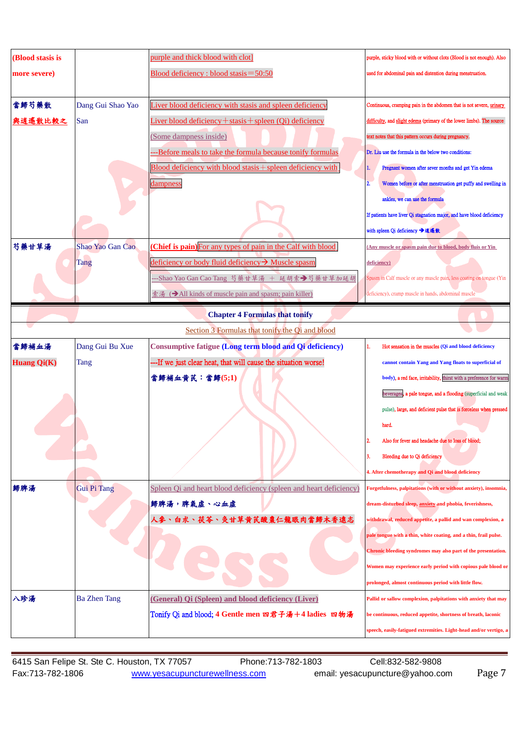| (Blood stasis is   |                     | purple and thick blood with clot]                                  | purple, sticky blood with or without clots (Blood is not enough). Also |
|--------------------|---------------------|--------------------------------------------------------------------|------------------------------------------------------------------------|
| more severe)       |                     | Blood deficiency : blood stasis $=$ 50:50                          | used for abdominal pain and distention during menstruation.            |
|                    |                     |                                                                    |                                                                        |
| 當歸芍藥散              | Dang Gui Shao Yao   | Liver blood deficiency with stasis and spleen deficiency           | Continuous, cramping pain in the abdomen that is not severe, urinary   |
| 奥逍遥散比較之            | San                 | Liver blood deficiency $+$ stasis $+$ spleen (Qi) deficiency       | difficulty, and slight edema (primary of the lower limbs). The source  |
|                    |                     | (Some dampness inside)                                             | ext notes that this pattern occurs during pregnancy.                   |
|                    |                     | ---Before meals to take the formula because tonify formulas        | Dr. Liu use the formula in the below two conditions:                   |
|                    |                     | Blood deficiency with blood stasis + spleen deficiency with        | Pregnant women after sever months and get Yin edema<br>1.              |
|                    |                     | dampness                                                           | Women before or after menstruation get puffy and swelling in           |
|                    |                     |                                                                    | ankles, we can use the formula                                         |
|                    |                     |                                                                    | If patients have liver Qi stagnation major, and have blood deficiency  |
|                    |                     |                                                                    | with spleen Qi deficiency → 逍遙散                                        |
| 芍藥甘草湯              | Shao Yao Gan Cao    | (Chief is pain) For any types of pain in the Calf with blood       | Any muscle or spasm pain due to blood, body fluis or Yin               |
|                    | Tang                | deficiency or body fluid deficiency→ Muscle spasm                  | deficiency)                                                            |
|                    |                     | --Shao Yao Gan Cao Tang 芍藥甘草湯 + 延胡索→芍藥甘草加延胡                        | Spasm in Calf muscle or any muscle pain, less coating on tongue (Yin   |
|                    |                     | 索湯 (→ All kinds of muscle pain and spasm; pain killer)             | deficiency), cramp muscle in hands, abdominal muscle                   |
|                    |                     |                                                                    |                                                                        |
|                    |                     | <b>Chapter 4 Formulas that tonify</b>                              |                                                                        |
|                    |                     | Section 3 Formulas that tonify the Qi and blood                    |                                                                        |
| 當歸補血湯              | Dang Gui Bu Xue     | <b>Consumptive fatigue (Long term blood and Qi deficiency)</b>     | Hot sensation in the muscles (Qi and blood deficiency                  |
| <b>Huang Qi(K)</b> | Tang                | ---If we just clear heat, that will cause the situation worse!     | cannot contain Yang and Yang floats to superficial of                  |
|                    |                     | 當歸補血黃芪:當歸(5;1)                                                     | body), a red face, irritability, thirst with a preference for warm     |
|                    |                     |                                                                    | beverages, a pale tongue, and a flooding (superficial and weak         |
|                    |                     |                                                                    | pulse), large, and deficient pulse that is forceless when pressed      |
|                    |                     |                                                                    | hard.                                                                  |
|                    |                     |                                                                    | Also for fever and headache due to loss of blood;                      |
|                    |                     |                                                                    | Bleeding due to Qi deficiency                                          |
|                    |                     |                                                                    | 4. After chemotherapy and Qi and blood deficiency                      |
| 歸脾湯                | Gui Pi Tang         | Spleen Qi and heart blood deficiency (spleen and heart deficiency) | Forgetfulness, palpitations (with or without anxiety), insomnia,       |
|                    |                     | 歸脾湯,脾氣虛、心血虛                                                        | dream-disturbed sleep, anxiety and phobia, feverishness,               |
|                    |                     | 人參、白朮、茯苓、灸甘草黃芪酸棗仁龍眼肉當歸木香遠志                                         | withdrawal, reduced appetite, a pallid and wan complexion, a           |
|                    |                     |                                                                    | pale tongue with a thin, white coating, and a thin, frail pulse.       |
|                    |                     |                                                                    | Chronic bleeding syndromes may also part of the presentation.          |
|                    |                     |                                                                    | Women may experience early period with copious pale blood or           |
|                    |                     |                                                                    | prolonged, almost continuous period with little flow.                  |
| 八珍湯                | <b>Ba Zhen Tang</b> | (General) Qi (Spleen) and blood deficiency (Liver)                 | Pallid or sallow complexion, palpitations with anxiety that may        |
|                    |                     | Tonify Qi and blood; 4 Gentle men 四君子湯+4 ladies 四物湯                | be continuous, reduced appetite, shortness of breath, laconic          |
|                    |                     |                                                                    | speech, easily-fatigued extremities. Light-head and/or vertigo, a      |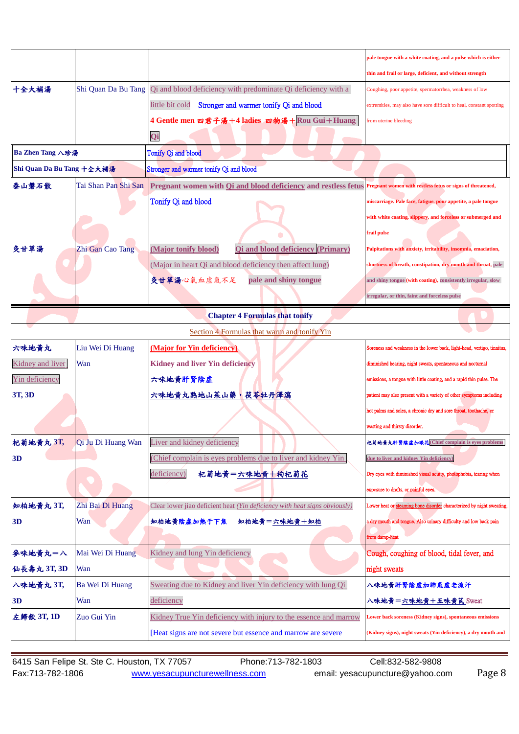|                           |                      |                                                                                                                           | pale tongue with a white coating, and a pulse which is either           |
|---------------------------|----------------------|---------------------------------------------------------------------------------------------------------------------------|-------------------------------------------------------------------------|
|                           |                      |                                                                                                                           |                                                                         |
|                           |                      |                                                                                                                           | thin and frail or large, deficient, and without strength                |
| 十全大補湯                     | Shi Quan Da Bu Tang  | Qi and blood deficiency with predominate Qi deficiency with a                                                             | Coughing, poor appetite, spermatorrhea, weakness of low                 |
|                           |                      | Stronger and warmer tonify Qi and blood<br>little bit cold                                                                | extremities, may also have sore difficult to heal, constant spotting    |
|                           |                      | 4 Gentle men 四君子湯+4 ladies 四物湯+Rou Gui+Huang                                                                              | from uterine bleeding                                                   |
|                           |                      | Oi                                                                                                                        |                                                                         |
| Ba Zhen Tang 八珍湯          |                      | Tonify Qi and blood                                                                                                       |                                                                         |
| Shi Quan Da Bu Tang 十全大補湯 |                      | Stronger and warmer tonify Qi and blood                                                                                   |                                                                         |
| 泰山磐石散                     | Tai Shan Pan Shi San | Pregnant women with Qi and blood deficiency and restless fetus Pregnant women with restless fetus or signs of threatened, |                                                                         |
|                           |                      | Tonify Qi and blood                                                                                                       | miscarriage. Pale face, fatigue, poor appetite, a pale tongue           |
|                           |                      |                                                                                                                           | with white coating, slippery, and forceless or submerged and            |
|                           |                      |                                                                                                                           | frail pulse                                                             |
| 灸甘草湯                      | Zhi Gan Cao Tang     | (Major tonify blood)<br><b>Qi</b> and blood deficiency (Primary)                                                          | Palpitations with anxiety, irritability, insomnia, emaciation,          |
|                           |                      | (Major in heart Qi and blood deficiency then affect lung)                                                                 | shortness of breath, constipation, dry month and throat, pale           |
|                           |                      | 灸甘草湯心氣血虛氣不足<br>pale and shiny tongue                                                                                      | and shiny tongue (with coating), consistently irregular, slow           |
|                           |                      |                                                                                                                           | irregular, or thin, faint and forceless pulse                           |
|                           |                      | <b>Chapter 4 Formulas that tonify</b>                                                                                     |                                                                         |
|                           |                      | Section 4 Formulas that warm and tonify Yin                                                                               |                                                                         |
| 六味地黄丸                     | Liu Wei Di Huang     | (Major for Yin deficiency)                                                                                                | Soreness and weakness in the lower back, light-head, vertigo, tinnitus, |
| Kidney and liver          | Wan                  | <b>Kidney and liver Yin deficiency</b>                                                                                    | diminished hearing, night sweats, spontaneous and nocturnal             |
| <b>Yin deficiency</b>     |                      | 六味地黄肝腎陰虚                                                                                                                  | emissions, a tongue with little coating, and a rapid thin pulse. The    |
| 3T, 3D                    |                      | 六味地黄丸熟地山茱山藥,茯苓牡丹澤瀉                                                                                                        | patient may also present with a variety of other symptoms including     |
|                           |                      |                                                                                                                           | hot palms and soles, a chronic dry and sore throat, toothache, or       |
|                           |                      |                                                                                                                           | wasting and thirsty disorder.                                           |
| 杞菊地黄丸 3T,                 | Qi Ju Di Huang Wan   | Liver and kidney deficiency                                                                                               | 杞菊地黄丸肝腎陰虚加眼花(Chief complain is eyes problems                            |
| 3D                        |                      | Chief complain is eyes problems due to liver and kidney Yin                                                               | due to liver and kidney Yin deficiency)                                 |
|                           |                      | deficiency)<br>杞菊地黄=六味地黄+枸杞菊花                                                                                             | Dry eyes with diminished visual acuity, photophobia, tearing when       |
|                           |                      |                                                                                                                           | exposure to drafts, or painful eyes.                                    |
| 知柏地黄丸 3T,                 | Zhi Bai Di Huang     | Clear lower jiao deficient heat ( <i>Yin deficiency with heat signs obviously</i> )                                       | Lower heat or steaming bone disorder characterized by night sweating,   |
| 3D                        | Wan                  | 知柏地黄=六味地黄+知柏<br>知柏地黄陰虛加熱于下焦                                                                                               | a dry mouth and tongue. Also urinary difficulty and low back pain       |
|                           |                      |                                                                                                                           | from damp-heat                                                          |
| 參味地黃丸=八                   | Mai Wei Di Huang     | Kidney and lung Yin deficiency                                                                                            | Cough, coughing of blood, tidal fever, and                              |
| 仙長壽丸 3T, 3D               | Wan                  |                                                                                                                           | night sweats                                                            |
| 八味地黄丸 3T,                 | Ba Wei Di Huang      | Sweating due to Kidney and liver Yin deficiency with lung Qi                                                              | 八味地黄肝腎陰虚加肺氣虚老流汗                                                         |
| 3D                        | Wan                  | deficiency                                                                                                                | 八味地黄=六味地黄+五味黄芪 Sweat                                                    |
| 左歸飲 3T, 1D                | Zuo Gui Yin          | Kidney True Yin deficiency with injury to the essence and marrow                                                          | Lower back soreness (Kidney signs), spontaneous emissions               |
|                           |                      | [Heat signs are not severe but essence and marrow are severe                                                              | Kidney signs), night sweats (Yin deficiency), a dry mouth and           |
|                           |                      |                                                                                                                           |                                                                         |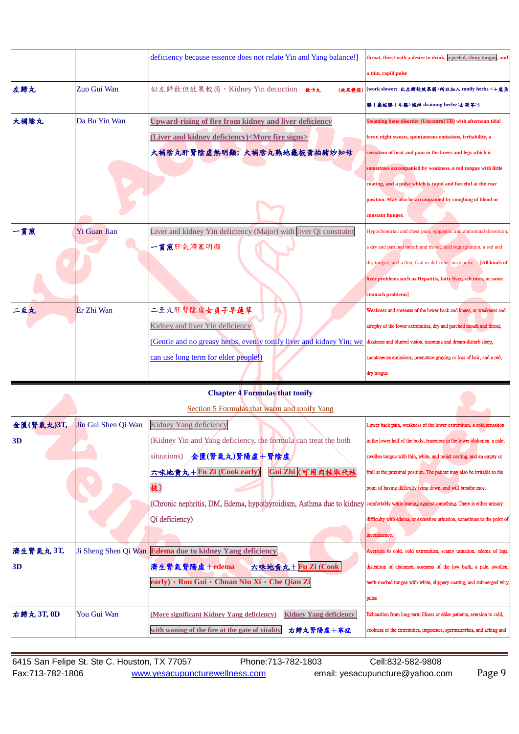|            |                     | deficiency because essence does not relate Yin and Yang balance!]                                                                        | throat, thirst with a desire to drink, a peeled, shiny tongue, and       |
|------------|---------------------|------------------------------------------------------------------------------------------------------------------------------------------|--------------------------------------------------------------------------|
|            |                     |                                                                                                                                          | a thin, rapid pulse                                                      |
| 左歸丸        | Zuo Gui Wan         | 似左歸飲但效果較弱, Kidney Yin decoction 《六九<br>(放果變弱)                                                                                            | (work slower; 比左歸飲效果弱,所以加入 tonify herbs <+鹿角                             |
|            |                     |                                                                                                                                          | 膠+龜板膠+牛膝>減掉 draining herbs<去茯苓>)                                         |
| 大補陰丸       | Da Bu Yin Wan       | <b>Upward-rising of fire from kidney and liver deficiency</b>                                                                            | <b>Steaming bone disorder (Uncontrol TB)</b> with afternoon tidal        |
|            |                     | (Liver and kidney deficiency) <more fire="" signs=""></more>                                                                             | fever, night sweats, spontaneous emissions, irritability, a              |
|            |                     | 大補陰丸肝腎陰虛熱明顯;大補陰丸熟地龜板黄柏豬炒知母                                                                                                               | sensation of heat and pain in the knees and legs which is                |
|            |                     |                                                                                                                                          | sometimes accompanied by weakness, a red tongue with little              |
|            |                     |                                                                                                                                          | coating, and a pulse which is rapid and forceful at the rear             |
|            |                     |                                                                                                                                          | position. May also be accompanied by coughing of blood or                |
|            |                     |                                                                                                                                          | constant hunger.                                                         |
| 貫煎         | <b>Yi Guan Jian</b> | Liver and kidney Yin deficiency (Major) with liver Qi constraint                                                                         | Hypochondriac and chest pain, epigastric and abdominal distention,       |
|            |                     | 一貫煎肝氣滯塞明顯                                                                                                                                | a dry and parched mouth and throat, acid regurgitation, a red and        |
|            |                     |                                                                                                                                          | dry tongue, and a thin, frail or deficient, wiry pulse. [All kinds of    |
|            |                     |                                                                                                                                          | liver problems such as Hepatitis, fatty liver, sclerosis, or some        |
|            |                     |                                                                                                                                          | stomach problems]                                                        |
| 二至丸        | Er Zhi Wan          | 二至丸肝腎陰虛女貞子旱蓮草                                                                                                                            | Weakness and soreness of the lower back and knees, or weakness and       |
|            |                     | Kidney and liver Yin deficiency                                                                                                          | atrophy of the lower extremities, dry and parched mouth and throat,      |
|            |                     | (Gentle and no greasy herbs, evenly tonify liver and kidney Yin; we dizziness and blurred vision, insommia and dream-disturb sleep,      |                                                                          |
|            |                     | can use long term for elder people!)                                                                                                     | spontaneous emissions, premature graying or loss of hair, and a red,     |
|            |                     |                                                                                                                                          | dry tongue                                                               |
|            |                     | <b>Chapter 4 Formulas that tonify</b>                                                                                                    |                                                                          |
|            |                     | Section 5 Formulas that warm and tonify Yang                                                                                             |                                                                          |
| 金匱(腎氣丸)3T, | Jin Gui Shen Qi Wan | Kidney Yang deficiency                                                                                                                   | Lower back pain, weakness of the lower extremities, a cold sensation     |
| 3D         |                     | (Kidney Yin and Yang deficiency, the formula can treat the both                                                                          | in the lower half of the body, tenseness in the lower abdomen, a pale,   |
|            |                     | situations) 金匱(腎氣丸)腎陽虛十腎陰虛                                                                                                               | swollen tongue with thin, white, and moist coating, and an empty or      |
|            |                     | 六味地黄丸+Fu Zi (Cook early)<br>Gui Zhi (可用肉桂取代桂                                                                                             | frail at the proximal position. The patient may also be irritable to the |
|            |                     | 枝)                                                                                                                                       | point of having difficulty lying down, and will breathe most             |
|            |                     | (Chronic nephritis, DM, Edema, hypothyroidism, Asthma due to kidney comfortably while leaning against something. There is either urinary |                                                                          |
|            |                     | Qi deficiency)                                                                                                                           | difficulty with edema, or excessive urination, sometimes to the point of |
|            |                     |                                                                                                                                          | incontinence.                                                            |
| 濟生腎氣丸 3T,  |                     | Ji Sheng Shen Qi Wan Edema due to kidney Yang deficiency                                                                                 | Aversion to cold, cold extremities, scanty urination, edema of legs,     |
| 3D         |                     | 六味地黄丸+Fu Zi (Cook<br>濟生腎氣腎陽虛+edema                                                                                                       | distention of abdomen, soreness of the low back, a pale, swollen,        |
|            |                     | early) , Rou Gui , Chuan Niu Xi , Che Qian Zi                                                                                            | teeth-marked tongue with white, slippery coating, and submerged wiry     |
|            |                     |                                                                                                                                          | pulse                                                                    |
| 右歸丸 3T, 0D | You Gui Wan         | (More significant Kidney Yang deficiency)<br><b>Kidney Yang deficiency</b>                                                               | Exhaustion from long-term illness or elder patients, aversion to cold,   |
|            |                     | 右歸丸腎陽虛十寒症<br>with waning of the fire at the gate of vitality                                                                             | coolness of the extremities, impotence, spermatorrhea, and aching and    |
|            |                     |                                                                                                                                          |                                                                          |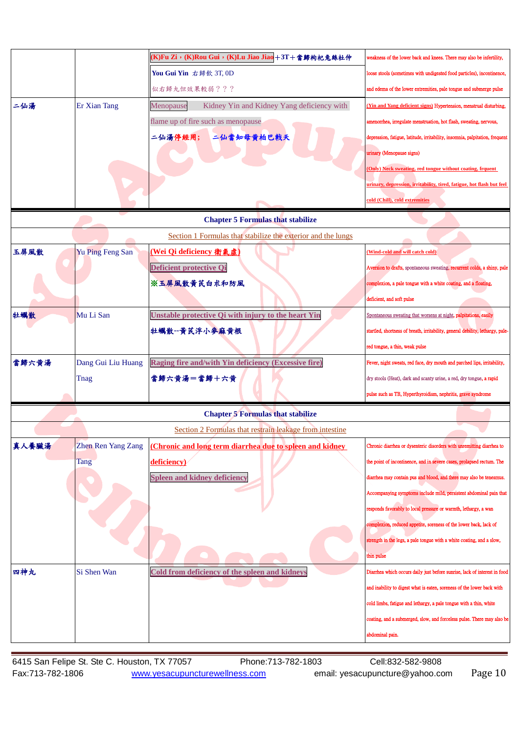|       |                    | (K)Fu Zi, (K)Rou Gui, (K)Lu Jiao Jiao +3T + 當歸枸杞兔絲杜仲         | weakness of the lower back and knees. There may also be infertility,           |
|-------|--------------------|--------------------------------------------------------------|--------------------------------------------------------------------------------|
|       |                    | You Gui Yin 右歸飲 3T, 0D                                       | loose stools (sometimes with undigested food particles), incontinence,         |
|       |                    | 似右歸丸但效果較弱???                                                 | and edema of the lower extremities, pale tongue and submerge pulse             |
| 二仙湯   | Er Xian Tang       | Kidney Yin and Kidney Yang deficiency with<br>Menopause      | (Yin and Yang deficient signs) Hypertension, menstrual disturbing,             |
|       |                    | flame up of fire such as menopause                           | amenorrhea, irregulate menstruation, hot flash, sweating, nervous,             |
|       |                    | 二仙湯停經用; 二仙當知母黃柏巴戟天                                           | depression, fatigue, latitude, irritability, insomnia, palpitation, frequent   |
|       |                    |                                                              | urinary (Menopause signs)                                                      |
|       |                    |                                                              | (Only) Neck sweating, red tongue without coating, frquent                      |
|       |                    |                                                              | urinary, depression, irritability, tired, fatigue, hot flash but feel          |
|       |                    |                                                              | cold (Chill), cold extremities                                                 |
|       |                    | <b>Chapter 5 Formulas that stabilize</b>                     |                                                                                |
|       |                    | Section 1 Formulas that stabilize the exterior and the lungs |                                                                                |
| 玉屏風散  | Yu Ping Feng San   | (Wei Qi deficiency 衛氣虛)                                      | (Wind-cold and will catch cold)                                                |
|       |                    | <b>Deficient protective Qi</b>                               | Aversion to drafts, spontaneous sweating, recurrent colds, a shiny, pale       |
|       |                    | ※玉屏風散黃芪白朮和防風                                                 | complexion, a pale tongue with a white coating, and a floating,                |
|       |                    |                                                              | deficient, and soft pulse                                                      |
| 牡蠣散   | Mu Li San          | Unstable protective Qi with injury to the heart Yin          | Spontaneous sweating that worsens at night, palpitations, easily               |
|       |                    | 牡蠣散--黃芪浮小參麻黃根                                                | startled, shortness of breath, irritability, general debility, lethargy, pale- |
|       |                    |                                                              | red tongue, a thin, weak pulse                                                 |
| 當歸六黄湯 | Dang Gui Liu Huang | Raging fire and/with Yin deficiency (Excessive fire)         | Fever, night sweats, red face, dry mouth and parched lips, irritability,       |
|       | Tnag               | 當歸六黃湯=當歸十六黃                                                  | dry stools (Heat), dark and scanty urine, a red, dry tongue, a rapid           |
|       |                    |                                                              | pulse such as TB, Hyperthyroidism, nephritis, grave syndrome                   |
|       |                    | <b>Chapter 5 Formulas that stabilize</b>                     |                                                                                |
|       |                    | Section 2 Formulas that restrain leakage from intestine      |                                                                                |
| 真人養臟湯 | Zhen Ren Yang Zang | Chronic and long term diarrhea due to spleen and kidney      | Chronic diarrhea or dysenteric disorders with unremitting diarrhea to          |
|       | <b>Tang</b>        | deficiency)                                                  | the point of incontinence, and in severe cases, prolapsed rectum. The          |
|       |                    | <b>Spleen and kidney deficiency</b>                          | diarrhea may contain pus and blood, and there may also be tenesmus.            |
|       |                    |                                                              | Accompanying symptoms include mild, persistent abdominal pain that             |
|       |                    |                                                              | responds favorably to local pressure or warmth, lethargy, a wan                |
|       |                    |                                                              | complexion, reduced appetite, soreness of the lower back, lack of              |
|       |                    |                                                              | strength in the legs, a pale tongue with a white coating, and a slow,          |
|       |                    |                                                              | thin pulse                                                                     |
| 四神丸   | Si Shen Wan        | Cold from deficiency of the spleen and kidneys               | Diarrhea which occurs daily just before sunrise, lack of interest in food      |
|       |                    |                                                              | and inability to digest what is eaten, soreness of the lower back with         |
|       |                    |                                                              | cold limbs, fatigue and lethargy, a pale tongue with a thin, white             |
|       |                    |                                                              | coating, and a submerged, slow, and forceless pulse. There may also be         |
|       |                    |                                                              | abdominal pain.                                                                |
|       |                    |                                                              |                                                                                |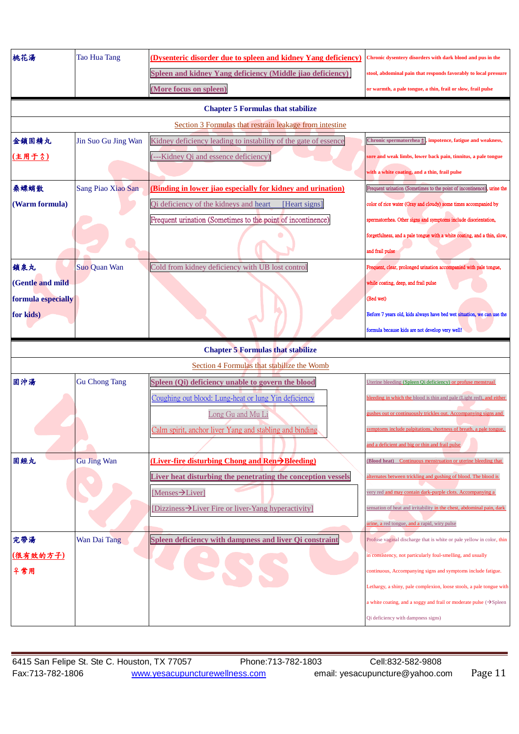| 桃花湯                | <b>Tao Hua Tang</b>  | (Dysenteric disorder due to spleen and kidney Yang deficiency)<br>Spleen and kidney Yang deficiency (Middle jiao deficiency) | Chronic dysentery disorders with dark blood and pus in the<br>stool, abdominal pain that responds favorably to local pressure |
|--------------------|----------------------|------------------------------------------------------------------------------------------------------------------------------|-------------------------------------------------------------------------------------------------------------------------------|
|                    |                      | (More focus on spleen)<br><b>Chapter 5 Formulas that stabilize</b>                                                           | or warmth, a pale tongue, a thin, frail or slow, frail pulse                                                                  |
|                    |                      | Section 3 Formulas that restrain leakage from intestine                                                                      |                                                                                                                               |
| 金鎖固精丸              | Jin Suo Gu Jing Wan  | Kidney deficiency leading to instability of the gate of essence                                                              | Chronic spermatorrhea $\frac{1}{6}$ , impotence, fatigue and weakness,                                                        |
| (主用于含)             |                      | Kidney Qi and essence deficiency)                                                                                            | sore and weak limbs, lower back pain, tinnitus, a pale tongue                                                                 |
|                    |                      |                                                                                                                              | with a white coating, and a thin, frail pulse                                                                                 |
| 桑螵蛸散               | Sang Piao Xiao San   | (Binding in lower jiao especially for kidney and urination)                                                                  | Frequent urination (Sometimes to the point of incontinence), urine the                                                        |
| (Warm formula)     |                      | Qi deficiency of the kidneys and heart<br>[Heart signs]                                                                      | color of rice water (Gray and cloudy) some times accompanied by                                                               |
|                    |                      | Frequent urination (Sometimes to the point of incontinence)                                                                  | spermatorrhea. Other signs and symptoms include disorientation,                                                               |
|                    |                      |                                                                                                                              | forgetfulness, and a pale tongue with a white coating, and a thin, slow,                                                      |
|                    |                      |                                                                                                                              | and frail pulse                                                                                                               |
| 鎖泉丸                | Suo Quan Wan         | Cold from kidney deficiency with UB lost control                                                                             | Frequent, clear, prolonged urination accompanied with pale tongue,                                                            |
| (Gentle and mild   |                      |                                                                                                                              | while coating, deep, and frail pulse                                                                                          |
| formula especially |                      |                                                                                                                              | (Bed wet)                                                                                                                     |
| for kids)          |                      |                                                                                                                              | Before 7 years old, kids always have bed wet situation, we can use the                                                        |
|                    |                      |                                                                                                                              | formula because kids are not develop very well!                                                                               |
|                    |                      | <b>Chapter 5 Formulas that stabilize</b>                                                                                     |                                                                                                                               |
|                    |                      | Section 4 Formulas that stabilize the Womb                                                                                   |                                                                                                                               |
| 固沖湯                | <b>Gu Chong Tang</b> | Spleen (Qi) deficiency unable to govern the blood                                                                            | Uterine bleeding (Spleen Qi deficiency) or profuse menstrual                                                                  |
|                    |                      | Coughing out blood: Lung-heat or lung Yin deficiency                                                                         | leeding in which the blood is thin and pale (Light red), and either                                                           |
|                    |                      | Long Gu and Mu Li                                                                                                            | tushes out or continuously trickles out. Accompanying signs and                                                               |
|                    |                      | Calm spirit, anchor liver Yang and stabling and binding                                                                      | symptoms include palpitations, shortness of breath, a pale tongue,                                                            |
|                    |                      |                                                                                                                              | and a deficient and big or thin and frail pulse                                                                               |
| 固經丸                | <b>Gu Jing Wan</b>   | (Liver-fire disturbing Chong and Ren->Bleeding)                                                                              | (Blood heat) Continuous menstruation or uterine bleeding that                                                                 |
|                    |                      | Liver heat disturbing the penetrating the conception vessels                                                                 | alternates between trickling and gushing of blood. The blood is                                                               |
|                    |                      | Menses->Liver]                                                                                                               | very red and may contain dark-purple clots. Accompanying a                                                                    |
|                    |                      | Dizziness > Liver Fire or liver-Yang hyperactivity                                                                           | sensation of heat and irritability in the chest, abdominal pain, dark                                                         |
|                    |                      |                                                                                                                              | urine, a red tongue, and a rapid, wiry pulse                                                                                  |
| 完帶湯                | Wan Dai Tang         | Spleen deficiency with dampness and liver Qi constraint                                                                      | Profuse vaginal discharge that is white or pale yellow in color, thin                                                         |
| (很有效的方子)           |                      |                                                                                                                              | in consistency, not particularly foul-smelling, and usually                                                                   |
| <b>早常用</b>         |                      |                                                                                                                              | continuous, Accompanying signs and symptoms include fatigue.                                                                  |
|                    |                      |                                                                                                                              | Lethargy, a shiny, pale complexion, loose stools, a pale tongue with                                                          |
|                    |                      |                                                                                                                              | a white coating, and a soggy and frail or moderate pulse $(\rightarrow)$ Spleen                                               |
|                    |                      |                                                                                                                              | Qi deficiency with dampness signs)                                                                                            |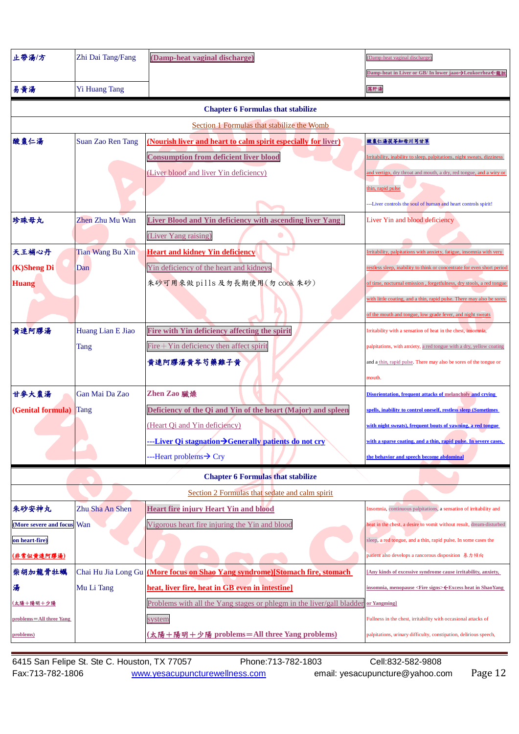| 止帶湯/方                     | Zhi Dai Tang/Fang    | (Damp-heat vaginal discharge)                                                | Damp-heat vaginal discharge                                             |
|---------------------------|----------------------|------------------------------------------------------------------------------|-------------------------------------------------------------------------|
|                           |                      |                                                                              | Damp-heat in Liver or GB/ In lower jaao→Leukorrhea←龍胆                   |
| 易黄湯                       | <b>Yi Huang Tang</b> |                                                                              | 瀉肝湯                                                                     |
|                           |                      | <b>Chapter 6 Formulas that stabilize</b>                                     |                                                                         |
|                           |                      | Section 1 Formulas that stabilize the Womb                                   |                                                                         |
| 酸棗仁湯                      | Suan Zao Ren Tang    | (Nourish liver and heart to calm spirit especially for liver)                | 酸囊仁湯茯苓知母川芎甘草                                                            |
|                           |                      | <b>Consumption from deficient liver blood</b>                                | Irritability, inability to sleep, palpitations, night sweats, dizziness |
|                           |                      | (Liver blood and liver Yin deficiency)                                       | and vertigo, dry throat and mouth, a dry, red tongue, and a wiry or     |
|                           |                      |                                                                              | thin, rapid pulse                                                       |
|                           |                      |                                                                              | -- Liver controls the soul of human and heart controls spirit!          |
| 珍珠母丸                      | Zhen Zhu Mu Wan      | Liver Blood and Yin deficiency with ascending liver Yang                     | Liver Yin and blood deficiency                                          |
|                           |                      | Liver Yang raising)                                                          |                                                                         |
| 天王補心丹                     | Tian Wang Bu Xin     | <b>Heart and kidney Yin deficiency</b>                                       | Irritability, palpitations with anxiety, fatigue, insomnia with very    |
| (K)Sheng Di               | Dan                  | Yin deficiency of the heart and kidneys                                      | restless sleep, inability to think or concentrate for even short period |
| <b>Huang</b>              |                      | 朱砂可用來做 pills 及勿長期使用(勿 cook 朱砂)                                               | of time, nocturnal emission, forgetfulness, dry stools, a red tongue    |
|                           |                      |                                                                              | with little coating, and a thin, rapid pulse. There may also be sores   |
|                           |                      |                                                                              | of the mouth and tongue, low grade fever, and night sweats              |
| 黄連阿膠湯                     | Huang Lian E Jiao    | Fire with Yin deficiency affecting the spirit                                | Irritability with a sensation of heat in the chest, insomnia,           |
|                           | Tang                 | $Fire + Yin$ deficiency then affect spirit                                   | palpitations, with anxiety, a red tongue with a dry, yellow coating     |
|                           |                      | 黄連阿膠湯黄岑芍藥雞子黄                                                                 | and a thin, rapid pulse. There may also be sores of the tongue or       |
|                           |                      |                                                                              | mouth.                                                                  |
| 甘參大棗湯                     | Gan Mai Da Zao       | Zhen Zao 臟燥                                                                  | Disorientation, frequent attacks of melancholy and crying               |
| (Genital formula)         | <b>Tang</b>          | Deficiency of the Qi and Yin of the heart (Major) and spleen                 | spells, inability to control oneself, restless sleep (Sometimes         |
|                           |                      | (Heart Qi and Yin deficiency)                                                | with night sweats), frequent bouts of vawning, a red tongue             |
|                           |                      | --Liver Qi stagnation > Generally patients do not cry                        | with a sparse coating, and a thin, rapid pulse. In severe cases,        |
|                           |                      | --Heart problems $\rightarrow$ Cry                                           | the behavior and speech become abdominal                                |
|                           |                      | <b>Chapter 6 Formulas that stabilize</b>                                     |                                                                         |
|                           |                      | Section 2 Formulas that sedate and calm spirit                               |                                                                         |
| 朱砂安神丸                     | Zhu Sha An Shen      | Heart fire injury Heart Yin and blood                                        | Insomnia, continuous palpitations, a sensation of irritability and      |
| More severe and focus Wan |                      | Vigorous heart fire injuring the Yin and blood                               | heat in the chest, a desire to vomit without result, dream-disturbed    |
| on heart-fire)            |                      |                                                                              | sleep, a red tongue, and a thin, rapid pulse. In some cases the         |
| 非常似黄連阿膠湯)                 |                      |                                                                              | patient also develops a rancorous disposition 暴力傾向                      |
| 柴胡加龍骨牡蠣                   |                      | Chai Hu Jia Long Gu (More focus on Shao Yang syndrome)[Stomach fire, stomach | Any kinds of excessive syndrome cause irritability, anxiety,            |
| 湯                         | Mu Li Tang           | heat, liver fire, heat in GB even in intestine]                              | insomnia, menopause <fire signs=""> ← Excess heat in ShaoYang</fire>    |
| 太陽+陽明+少陽                  |                      | Problems with all the Yang stages or phlegm in the liver/gall bladder        | or Yangming]                                                            |
| problems=All three Yang   |                      | system                                                                       | Fullness in the chest, irritability with occasional attacks of          |
| problems)                 |                      | (太陽+陽明+少陽 problems=All three Yang problems)                                  | palpitations, urinary difficulty, constipation, delirious speech,       |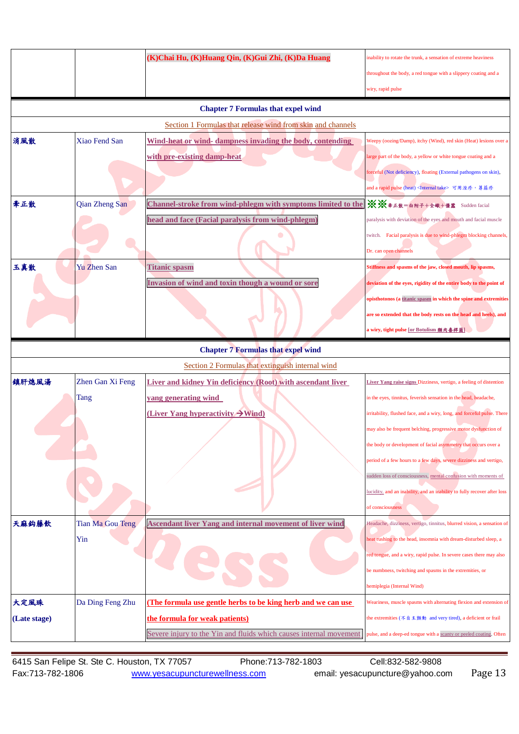|              |                         | (K)Chai Hu, (K)Huang Qin, (K)Gui Zhi, (K)Da Huang                  | inability to rotate the trunk, a sensation of extreme heaviness          |
|--------------|-------------------------|--------------------------------------------------------------------|--------------------------------------------------------------------------|
|              |                         |                                                                    | throughout the body, a red tongue with a slippery coating and a          |
|              |                         |                                                                    | wiry, rapid pulse                                                        |
|              |                         | <b>Chapter 7 Formulas that expel wind</b>                          |                                                                          |
|              |                         | Section 1 Formulas that release wind from skin and channels        |                                                                          |
| 消風散          | <b>Xiao Fend San</b>    | Wind-heat or wind- dampness invading the body, contending          | Weepy (oozing/Damp), itchy (Wind), red skin (Heat) lesions over a        |
|              |                         | with pre-existing damp-heat                                        | large part of the body, a yellow or white tongue coating and a           |
|              |                         |                                                                    | forceful (Not deficiency), floating (External pathogens on skin),        |
|              |                         |                                                                    | and a rapid pulse (heat) <internal take=""> 可用溼疹, 蕁麻疹</internal>         |
| 牽正散          | Qian Zheng San          |                                                                    |                                                                          |
|              |                         | head and face (Facial paralysis from wind-phlegm)                  | paralysis with deviation of the eyes and mouth and facial muscle         |
|              |                         |                                                                    | twitch. Facial paralysis is due to wind-phlegm blocking channels,        |
|              |                         |                                                                    | Dr. can open channels                                                    |
| 玉真散          | <b>Yu Zhen San</b>      | <b>Titanic spasm</b>                                               | Stiffness and spasms of the jaw, closed mouth, lip spasms,               |
|              |                         | Invasion of wind and toxin though a wound or sore                  | deviation of the eyes, rigidity of the entire body to the point of       |
|              |                         |                                                                    | opisthotonos (a titanic spasm in which the spine and extremities         |
|              |                         |                                                                    | are so extended that the body rests on the head and heels), and          |
|              |                         |                                                                    | a wiry, tight pulse [or Botulism 频肉春桿菌]                                  |
|              |                         | <b>Chapter 7 Formulas that expel wind</b>                          |                                                                          |
|              |                         | Section 2 Formulas that extinguish internal wind                   |                                                                          |
| 鎮肝熄風湯        | Zhen Gan Xi Feng        | <b>Liver and kidney Yin deficiency (Root) with ascendant liver</b> | Liver Yang raise signs Dizziness, vertigo, a feeling of distention       |
|              | Tang                    | yang generating wind                                               | in the eyes, tinnitus, feverish sensation in the head, headache,         |
|              |                         | (Liver Yang hyperactivity $\rightarrow$ Wind)                      | irritability, flushed face, and a wiry, long, and forceful pulse. There  |
|              |                         |                                                                    | may also be frequent belching, progressive motor dysfunction of          |
|              |                         |                                                                    | the body or development of facial asymmetry that occurs over a           |
|              |                         |                                                                    | period of a few hours to a few days, severe dizziness and vertigo,       |
|              |                         |                                                                    | sudden loss of consciousness, mental confusion with moments of           |
|              |                         |                                                                    | lucidity, and an inability, and an inability to fully recover after loss |
|              |                         |                                                                    | of consciousness                                                         |
| 天麻鈎藤飲        | <b>Tian Ma Gou Teng</b> | <b>Ascendant liver Yang and internal movement of liver wind</b>    | Headache, dizziness, vertigo, tinnitus, blurred vision, a sensation of   |
|              | Yin                     |                                                                    | heat rushing to the head, insomnia with dream-disturbed sleep, a         |
|              |                         |                                                                    | red tongue, and a wiry, rapid pulse. In severe cases there may also      |
|              |                         |                                                                    | be numbness, twitching and spasms in the extremities, or                 |
|              |                         |                                                                    | hemiplegia (Internal Wind)                                               |
| 大定風珠         | Da Ding Feng Zhu        | (The formula use gentle herbs to be king herb and we can use       | Weariness, muscle spasms with alternating flexion and extension of       |
| (Late stage) |                         | the formula for weak patients)                                     | the extremities (不自主顫動 and very tired), a deficient or frail             |
|              |                         | Severe injury to the Yin and fluids which causes internal movement | pulse, and a deep-ed tongue with a scanty or peeled coating. Often       |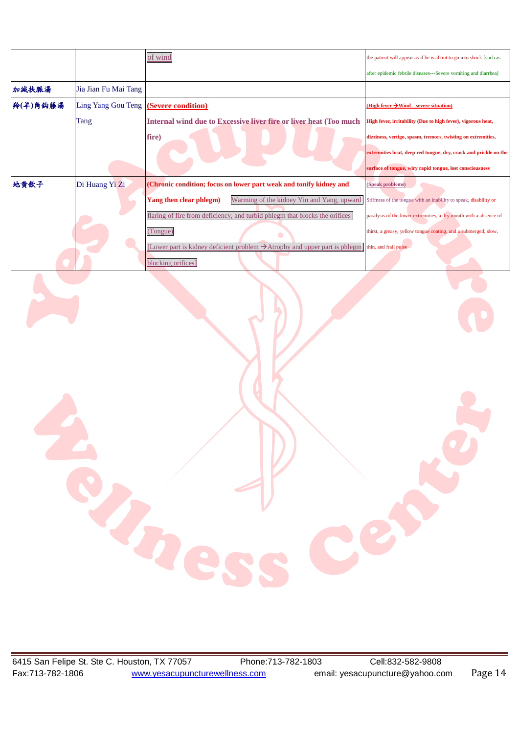|          |                      | of wind                                                                                                             | the patient will appear as if he is about to go into shock [such as |
|----------|----------------------|---------------------------------------------------------------------------------------------------------------------|---------------------------------------------------------------------|
|          |                      |                                                                                                                     | after epidemic febrile diseases---Severe vomiting and diarrhea]     |
| 加减扶脈湯    | Jia Jian Fu Mai Tang |                                                                                                                     |                                                                     |
| 羚(羊)角鈎藤湯 | Ling Yang Gou Teng   | (Severe condition)                                                                                                  | (High fever $\rightarrow$ Wind severe situation)                    |
|          | Tang                 | Internal wind due to Excessive liver fire or liver heat (Too much                                                   | High fever, irritability (Due to high fever), vigorous heat,        |
|          |                      | fire)                                                                                                               | dizziness, vertigo, spasm, tremors, twisting on extremities,        |
|          |                      |                                                                                                                     | extremities heat, deep red tongue, dry, crack and prickle on the    |
|          |                      |                                                                                                                     | surface of tongue, wiry rapid tongue, lost consciousness            |
| 地黄飲子     | Di Huang Yi Zi       | (Chronic condition; focus on lower part weak and tonify kidney and                                                  | (Speak problems)                                                    |
|          |                      | Warming of the kidney Yin and Yang, upward<br>Yang then clear phlegm)                                               | Stiffness of the tongue with an inability to speak, disability or   |
|          |                      | flaring of fire from deficiency, and turbid phlegm that blocks the orifices                                         | paralysis of the lower extremities, a dry mouth with a absence of   |
|          |                      | (Tongue)                                                                                                            | thirst, a greasy, yellow tongue coating, and a submerged, slow,     |
|          |                      | Lower part is kidney deficient problem $\rightarrow$ Atrophy and upper part is phlegm $\vert$ thin, and frail pulse |                                                                     |
|          |                      | blocking orifices]                                                                                                  |                                                                     |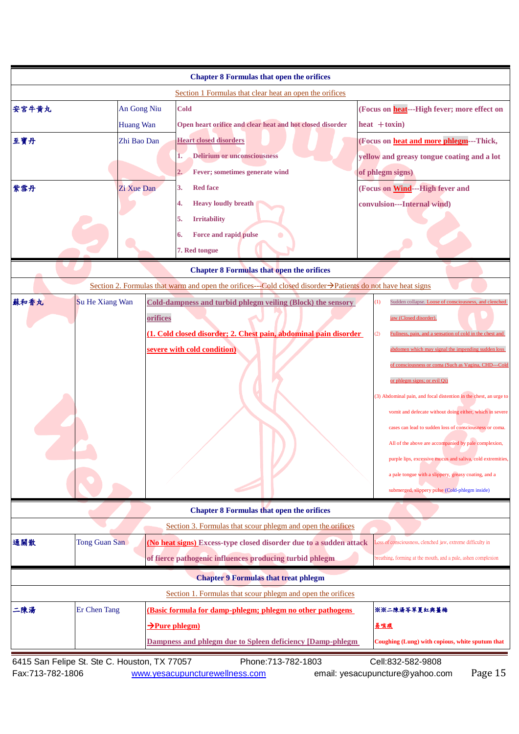| <b>Chapter 8 Formulas that open the orifices</b>                                                 |                            |                  |                                                                                                             |                                                                   |
|--------------------------------------------------------------------------------------------------|----------------------------|------------------|-------------------------------------------------------------------------------------------------------------|-------------------------------------------------------------------|
| Section 1 Formulas that clear heat an open the orifices                                          |                            |                  |                                                                                                             |                                                                   |
| 安宫牛黄丸                                                                                            |                            | An Gong Niu      | <b>Cold</b>                                                                                                 | (Focus on heat---High fever; more effect on                       |
|                                                                                                  |                            | <b>Huang Wan</b> | Open heart orifice and clear heat and hot closed disorder                                                   | $heat + toxin)$                                                   |
| 至寶丹                                                                                              |                            | Zhi Bao Dan      | <b>Heart closed disorders</b>                                                                               | (Focus on <b>heat and more phlegm---Thick</b> ,                   |
|                                                                                                  |                            |                  | <b>Delirium or unconsciousness</b>                                                                          | yellow and greasy tongue coating and a lot                        |
|                                                                                                  |                            |                  | Fever; sometimes generate wind                                                                              | of phlegm signs)                                                  |
| 紫雪丹                                                                                              |                            | Zi Xue Dan       | <b>Red face</b><br>3.                                                                                       | (Focus on Wind---High fever and                                   |
|                                                                                                  |                            |                  | <b>Heavy loudly breath</b><br>4.                                                                            | convulsion---Internal wind)                                       |
|                                                                                                  |                            |                  | 5.<br><b>Irritability</b>                                                                                   |                                                                   |
|                                                                                                  |                            |                  | Force and rapid pulse<br>6.                                                                                 |                                                                   |
|                                                                                                  |                            |                  | 7. Red tongue                                                                                               |                                                                   |
|                                                                                                  |                            |                  | <b>Chapter 8 Formulas that open the orifices</b>                                                            |                                                                   |
|                                                                                                  |                            |                  | Section 2. Formulas that warm and open the orifices---Cold closed disorder->Patients do not have heat signs |                                                                   |
| 蘇和香丸                                                                                             | Su He Xiang Wan            |                  | Cold-dampness and turbid phlegm veiling (Block) the sensory                                                 | Sudden collapse. Loose of consciousness, and clenched<br>(1)      |
|                                                                                                  |                            | <u>orifices</u>  |                                                                                                             | jaw (Closed disorder).                                            |
|                                                                                                  |                            |                  | 1. Cold closed disorder; 2. Chest pain, abdominal pain disorder                                             | Fullness, pain, and a sensation of cold in the chest and<br>(2)   |
| severe with cold condition)                                                                      |                            |                  |                                                                                                             | abdomen which may signal the impending sudden loss                |
|                                                                                                  |                            |                  |                                                                                                             | of consciousness or coma (Such as Vagina, CHD---Cold              |
|                                                                                                  |                            |                  |                                                                                                             | or phlegm signs; or evil Qi)                                      |
|                                                                                                  |                            |                  |                                                                                                             | (3) Abdominal pain, and focal distention in the chest, an urge to |
|                                                                                                  |                            |                  |                                                                                                             | vomit and defecate without doing either, which in severe          |
|                                                                                                  |                            |                  |                                                                                                             | cases can lead to sudden loss of consciousness or coma.           |
|                                                                                                  |                            |                  |                                                                                                             | All of the above are accompanied by pale complexion,              |
|                                                                                                  |                            |                  |                                                                                                             | purple lips, excessive mucus and saliva, cold extremities,        |
|                                                                                                  |                            |                  |                                                                                                             | a pale tongue with a slippery, greasy coating, and a              |
|                                                                                                  |                            |                  |                                                                                                             | submerged, slippery pulse (Cold-phlegm inside)                    |
| <b>Chapter 8 Formulas that open the orifices</b>                                                 |                            |                  |                                                                                                             |                                                                   |
| Section 3. Formulas that scour phlegm and open the orifices                                      |                            |                  |                                                                                                             |                                                                   |
| 通關散                                                                                              | Tong Guan San              |                  | (No heat signs) Excess-type closed disorder due to a sudden attack                                          | loss of consciousness, clenched jaw, extreme difficulty in        |
|                                                                                                  |                            |                  | of fierce pathogenic influences producing turbid phlegm                                                     | preathing, forming at the mouth, and a pale, ashen complexion     |
|                                                                                                  |                            |                  | <b>Chapter 9 Formulas that treat phlegm</b>                                                                 |                                                                   |
| Section 1. Formulas that scour phlegm and open the orifices                                      |                            |                  |                                                                                                             |                                                                   |
| 二陳湯                                                                                              | Er Chen Tang               |                  | (Basic formula for damp-phlegm; phlegm no other pathogens                                                   | ※※二陳湯苓草夏紅與薑梅                                                      |
|                                                                                                  | $\rightarrow$ Pure phlegm) |                  | 易咳痰                                                                                                         |                                                                   |
|                                                                                                  |                            |                  | Dampness and phlegm due to Spleen deficiency [Damp-phlegm                                                   | Coughing (Lung) with copious, white sputum that                   |
| 6415 San Felipe St. Ste C. Houston, TX 77057                                                     |                            |                  | Phone: 713-782-1803                                                                                         | Cell:832-582-9808                                                 |
| Page 15<br>Fax:713-782-1806<br>www.yesacupuncturewellness.com<br>email: yesacupuncture@yahoo.com |                            |                  |                                                                                                             |                                                                   |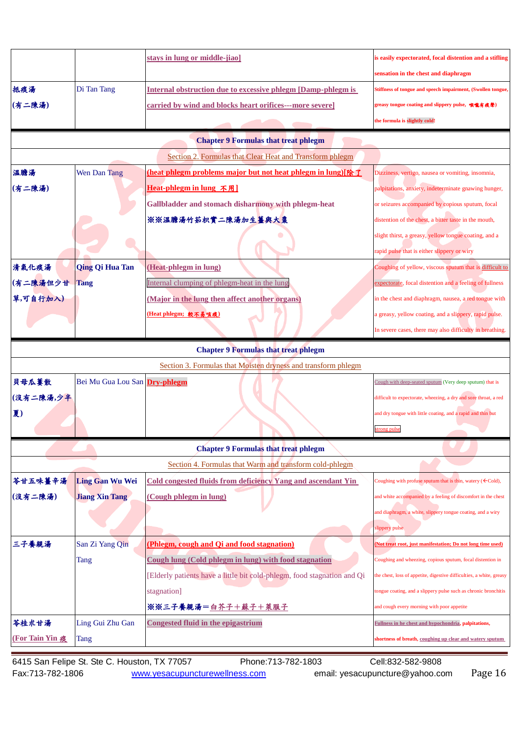|                 |                                                                                           | stays in lung or middle-jiao]                                           | is easily expectorated, focal distention and a stifling              |
|-----------------|-------------------------------------------------------------------------------------------|-------------------------------------------------------------------------|----------------------------------------------------------------------|
|                 |                                                                                           |                                                                         | sensation in the chest and diaphragm                                 |
| 抵痰湯             | Di Tan Tang                                                                               | Internal obstruction due to excessive phlegm [Damp-phlegm is            | Stiffness of tongue and speech impairment, (Swollen tongue,          |
| (有二陳湯)          |                                                                                           | <u>carried by wind and blocks heart orifices---more severe]</u>         | greasy tongue coating and slippery pulse, 喉嚨有痰聲)                     |
|                 |                                                                                           |                                                                         | the formula is slightly cold!                                        |
|                 |                                                                                           | <b>Chapter 9 Formulas that treat phlegm</b>                             |                                                                      |
|                 |                                                                                           | Section 2. Formulas that Clear Heat and Transform phlegm                |                                                                      |
| 温膽湯             | Wen Dan Tang                                                                              | (heat phlegm problems major but not heat phlegm in lung)[除了             | Dizziness, vertigo, nausea or vomiting, insomnia,                    |
| (有二陳湯)          |                                                                                           | Heat-phlegm in lung 不用]                                                 | palpitations, anxiety, indeterminate gnawing hunger,                 |
|                 |                                                                                           | Gallbladder and stomach disharmony with phlegm-heat                     | or seizures accompanied by copious sputum, focal                     |
|                 |                                                                                           | ※※温膽湯竹茹枳實二陳湯加生薑與大棗                                                      | distention of the chest, a bitter taste in the mouth,                |
|                 |                                                                                           |                                                                         | slight thirst, a greasy, yellow tongue coating, and a                |
|                 |                                                                                           |                                                                         | rapid pulse that is either slippery or wiry                          |
| 清氣化痰湯           | <b>Qing Qi Hua Tan</b>                                                                    | (Heat-phlegm in lung)                                                   | Coughing of yellow, viscous sputum that is difficult to              |
| (有二陳湯但少甘        | <b>Tang</b>                                                                               | Internal clumping of phlegm-heat in the lung                            | expectorate, focal distention and a feeling of fullness              |
| 草,可自行加入)        |                                                                                           | (Major in the lung then affect another organs)                          | in the chest and diaphragm, nausea, a red tongue with                |
|                 |                                                                                           | Heat phlegm; 較不易咳痰)                                                     | a greasy, yellow coating, and a slippery, rapid pulse.               |
|                 |                                                                                           |                                                                         | In severe cases, there may also difficulty in breathing.             |
|                 |                                                                                           | <b>Chapter 9 Formulas that treat phlegm</b>                             |                                                                      |
|                 |                                                                                           | Section 3. Formulas that Moisten dryness and transform phlegm           |                                                                      |
| 貝母瓜萋散           | Bei Mu Gua Lou San Dry-phlegm<br>Cough with deep-seated sputum (Very deep sputum) that is |                                                                         |                                                                      |
| (沒有二陳湯,少半       |                                                                                           |                                                                         | difficult to expectorate, wheezing, a dry and sore throat, a red     |
| 夏)              |                                                                                           |                                                                         | and dry tongue with little coating, and a rapid and thin but         |
|                 |                                                                                           |                                                                         | strong pulse                                                         |
|                 |                                                                                           | <b>Chapter 9 Formulas that treat phlegm</b>                             |                                                                      |
|                 |                                                                                           | Section 4. Formulas that Warm and transform cold-phlegm                 |                                                                      |
| 苓甘五味薑辛湯         | <b>Ling Gan Wu Wei</b>                                                                    | <b>Cold congested fluids from deficiency Yang and ascendant Yin</b>     | Coughing with profuse sputum that is thin, watery $(\in$ Cold),      |
| (沒有二陳湯)         | <b>Jiang Xin Tang</b>                                                                     | (Cough phlegm in lung)                                                  | and white accompanied by a feeling of discomfort in the chest        |
|                 |                                                                                           |                                                                         | and diaphragm, a white, slippery tongue coating, and a wiry          |
|                 |                                                                                           |                                                                         | lippery pulse                                                        |
| 三子養親湯           | San Zi Yang Qin                                                                           | (Phlegm, cough and Qi and food stagnation)                              | Not treat root, just manifestation; Do not long time used)           |
|                 | Tang                                                                                      | Cough lung (Cold phlegm in lung) with food stagnation                   | Coughing and wheezing, copious sputum, focal distention in           |
|                 |                                                                                           | [Elderly patients have a little bit cold-phlegm, food stagnation and Qi | the chest, loss of appetite, digestive difficulties, a white, greasy |
|                 |                                                                                           | stagnation]                                                             | ongue coating, and a slippery pulse such as chronic bronchitis       |
|                 |                                                                                           | ※※三子養親湯=白芥子+蘇子+萊服子                                                      | and cough every morning with poor appetite                           |
| 苓桂朮甘湯           | Ling Gui Zhu Gan                                                                          | <b>Congested fluid in the epigastrium</b>                               | Fullness in he chest and hypochondria, palpitations,                 |
| (For Tain Yin 痰 | Tang                                                                                      |                                                                         | shortness of breath, coughing up clear and watery sputum             |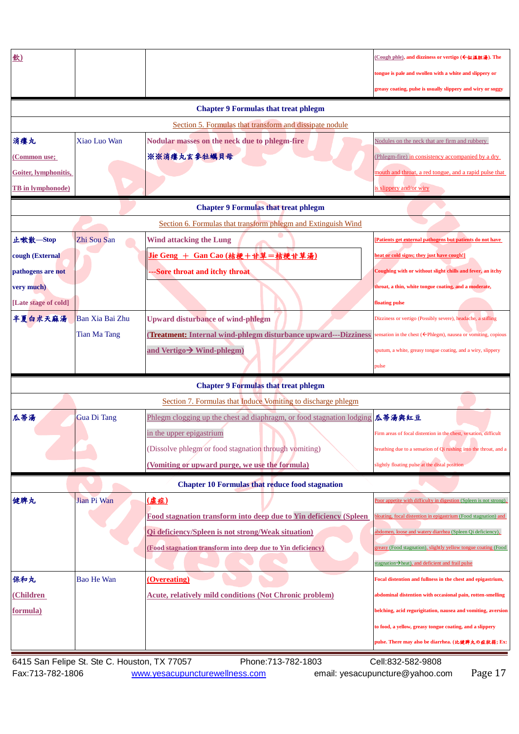| 飲)                   |                     |                                                                       | Cough phle), and dizziness or vertigo (←似温胆湯). The                 |
|----------------------|---------------------|-----------------------------------------------------------------------|--------------------------------------------------------------------|
|                      |                     |                                                                       | tongue is pale and swollen with a white and slippery or            |
|                      |                     |                                                                       | greasy coating, pulse is usually slippery and wiry or soggy        |
|                      |                     | <b>Chapter 9 Formulas that treat phlegm</b>                           |                                                                    |
|                      |                     | Section 5. Formulas that transform and dissipate nodule               |                                                                    |
| 消瘻丸                  | Xiao Luo Wan        | Nodular masses on the neck due to phlegm-fire                         | Nodules on the neck that are firm and rubbery                      |
| Common use:          |                     | ※※消瘻丸玄參牡蠣貝母                                                           | Phlegm-fire) in consistency accompanied by a dry                   |
| Goiter, lymphonitis, |                     |                                                                       | mouth and throat, a red tongue, and a rapid pulse that             |
| TB in lymphonode)    |                     |                                                                       | is slippery and/or wiry                                            |
|                      |                     | <b>Chapter 9 Formulas that treat phlegm</b>                           |                                                                    |
|                      |                     | Section 6. Formulas that transform phlegm and Extinguish Wind         |                                                                    |
| 止嗽散-Stop             | Zhi Sou San         | <b>Wind attacking the Lung</b>                                        | Patients get external pathogens but patients do not have           |
| cough (External      |                     | Jie Geng + Gan Cao (桔梗+甘草=桔梗甘草湯)                                      | heat or cold signs; they just have cough!]                         |
| pathogens are not    |                     | --Sore throat and itchy throat                                        | Coughing with or without slight chills and fever, an itchy         |
| very much)           |                     |                                                                       | throat, a thin, white tongue coating, and a moderate,              |
| [Late stage of cold] |                     |                                                                       | floating pulse                                                     |
| 半夏白朮天麻湯              | Ban Xia Bai Zhu     | <b>Upward disturbance of wind-phlegm</b>                              | Dizziness or vertigo (Possibly severe), headache, a stifling       |
|                      | <b>Tian Ma Tang</b> | <b>Treatment: Internal wind-phlegm disturbance upward---Dizziness</b> | sensation in the chest (←Phlegm), nausea or vomiting, copious      |
|                      |                     | and Vertigo→ Wind-phlegm)                                             | sputum, a white, greasy tongue coating, and a wiry, slippery       |
|                      |                     |                                                                       | pulse                                                              |
|                      |                     | <b>Chapter 9 Formulas that treat phlegm</b>                           |                                                                    |
|                      |                     | Section 7. Formulas that Induce Vomiting to discharge phlegm          |                                                                    |
| 瓜蒂湯                  | <b>Gua Di Tang</b>  | Phlegm clogging up the chest ad diaphragm, or food stagnation lodging | 瓜蒂湯與紅豆                                                             |
|                      |                     | in the upper epigastrium                                              | Firm areas of focal distention in the chest, vexation, difficult   |
|                      |                     | (Dissolve phlegm or food stagnation through vomiting)                 | breathing due to a sensation of Qi rushing into the throat, and a  |
|                      |                     | <b>Vomiting or upward purge, we use the formula)</b>                  | slightly floating pulse at the distal position                     |
|                      |                     | <b>Chapter 10 Formulas that reduce food stagnation</b>                |                                                                    |
| 健脾丸                  | Jian Pi Wan         | (盧症)                                                                  | Poor appetite with difficulty in digestion (Spleen is not strong), |
|                      |                     | Food stagnation transform into deep due to Yin deficiency (Spleen     | bloating, focal distention in epigastrium (Food stagnation) and    |
|                      |                     | Oi deficiency/Spleen is not strong/Weak situation)                    | abdomen, loose and watery diarrhea (Spleen Qi deficiency),         |
|                      |                     | (Food stagnation transform into deep due to Yin deficiency)           | greasy (Food stagnation), slightly yellow tongue coating (Food     |
|                      |                     |                                                                       | stagnation > heat), and deficient and frail pulse                  |
| 保和丸                  | Bao He Wan          | (Overeating)                                                          | Focal distention and fullness in the chest and epigastrium,        |
| <b>Children</b>      |                     | <b>Acute, relatively mild conditions (Not Chronic problem)</b>        | abdominal distention with occasional pain, rotten-smelling         |
| formula)             |                     |                                                                       | belching, acid regurigitation, nausea and vomiting, aversion       |
|                      |                     |                                                                       | to food, a yellow, greasy tongue coating, and a slippery           |
|                      |                     |                                                                       | pulse. There may also be diarrhea. (比健脾丸の症狀弱; Ex:                  |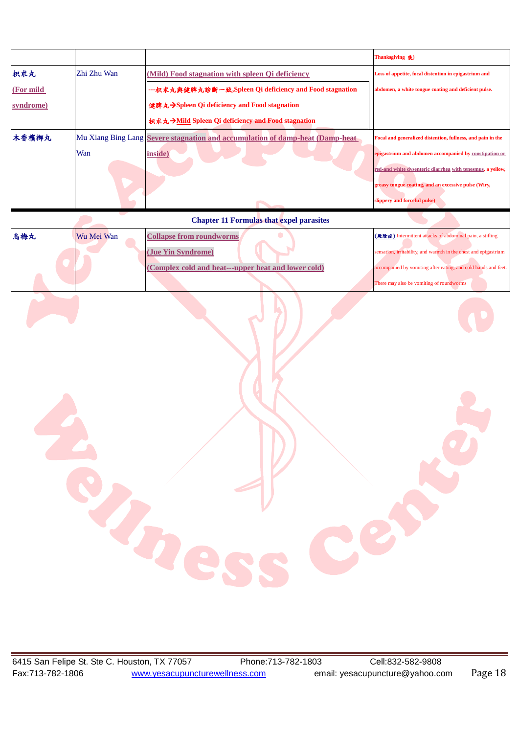|           |             |                                                                               | Thanksgiving 後)                                                  |
|-----------|-------------|-------------------------------------------------------------------------------|------------------------------------------------------------------|
| 枳朮丸       | Zhi Zhu Wan | (Mild) Food stagnation with spleen Qi deficiency                              | Loss of appetite, focal distention in epigastrium and            |
| (For mild |             | ---枳朮丸與健脾丸診斷一致,Spleen Qi deficiency and Food stagnation                       | abdomen, a white tongue coating and deficient pulse.             |
| syndrome) |             | 健脾丸→Spleen Qi deficiency and Food stagnation                                  |                                                                  |
|           |             | R 术 九 → Mild Spleen Qi deficiency and Food stagnation                         |                                                                  |
| 木香檳榔丸     |             | Mu Xiang Bing Lang Severe stagnation and accumulation of damp-heat (Damp-heat | Focal and generalized distention, fullness, and pain in the      |
|           | Wan         | inside)                                                                       | epigastrium and abdomen accompanied by constipation or           |
|           |             |                                                                               | red-and white dysenteric diarrhea with tenesmus, a yellow,       |
|           |             |                                                                               | greasy tongue coating, and an excessive pulse (Wiry,             |
|           |             |                                                                               | slippery and forceful pulse)                                     |
|           |             | <b>Chapter 11 Formulas that expel parasites</b>                               |                                                                  |
| 烏梅丸       | Wu Mei Wan  | <b>Collapse from roundworms</b>                                               | (厥陰症) Intermittent attacks of abdominal pain, a stifling         |
|           |             | (Jue Yin Syndrome)                                                            | sensation, irritability, and warmth in the chest and epigastrium |
|           |             | (Complex cold and heat---upper heat and lower cold)                           | accompanied by vomiting after eating, and cold hands and feet.   |
|           |             |                                                                               | There may also be vomiting of roundworms                         |
|           |             |                                                                               |                                                                  |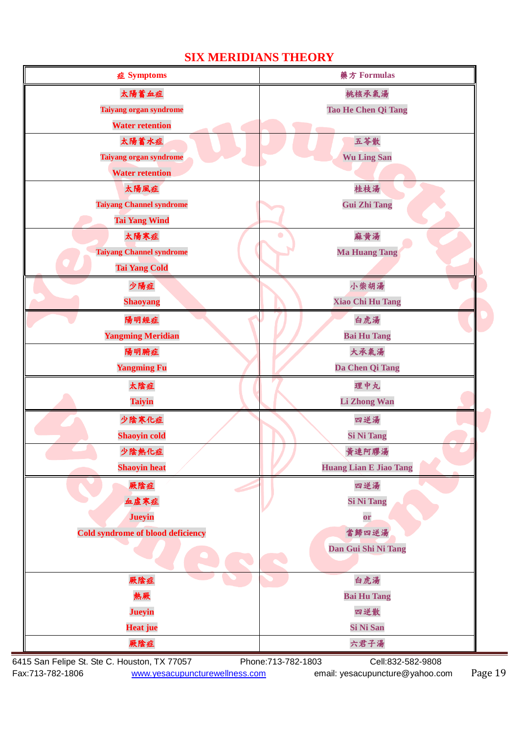## **SIX MERIDIANS THEORY**

| 症 Symptoms                               | 藥方 Formulas                   |  |
|------------------------------------------|-------------------------------|--|
| 太陽蓄血症                                    | 桃核承氣湯                         |  |
| <b>Taiyang organ syndrome</b>            | <b>Tao He Chen Qi Tang</b>    |  |
| <b>Water retention</b>                   |                               |  |
| 太陽蓄水症                                    | 五苓散                           |  |
| <b>Taiyang organ syndrome</b>            | <b>Wu Ling San</b>            |  |
| <b>Water retention</b>                   |                               |  |
| 太陽風症                                     | 桂枝湯                           |  |
| <b>Taiyang Channel syndrome</b>          | <b>Gui Zhi Tang</b>           |  |
| <b>Tai Yang Wind</b>                     |                               |  |
| 太陽寒症                                     | 麻黄湯<br>$\bullet$              |  |
| <b>Taiyang Channel syndrome</b>          | <b>Ma Huang Tang</b>          |  |
| <b>Tai Yang Cold</b>                     |                               |  |
| 少陽症                                      | 小柴胡湯                          |  |
| <b>Shaoyang</b>                          | <b>Xiao Chi Hu Tang</b>       |  |
| 陽明經症                                     | 白虎湯                           |  |
| <b>Yangming Meridian</b>                 | <b>Bai Hu Tang</b>            |  |
| 陽明腑症                                     | 大承氣湯                          |  |
| <b>Yangming Fu</b>                       | Da Chen Qi Tang               |  |
| 太陰症                                      | 理中丸                           |  |
| <b>Taiyin</b>                            | <b>Li Zhong Wan</b>           |  |
| 少陰寒化症                                    | 四逆湯                           |  |
| <b>Shaoyin cold</b>                      | <b>Si Ni Tang</b>             |  |
| 少陰熱化症                                    | 黄連阿膠湯                         |  |
| <b>Shaoyin heat</b>                      | <b>Huang Lian E Jiao Tang</b> |  |
| 厥陰症                                      | 四逆湯                           |  |
| 血虚寒症                                     | <b>Si Ni Tang</b>             |  |
| <b>Jueyin</b>                            | $\overline{\text{or}}$        |  |
| <b>Cold syndrome of blood deficiency</b> | 當歸四逆湯                         |  |
|                                          | Dan Gui Shi Ni Tang           |  |
|                                          |                               |  |
| 厥陰症                                      | 白虎湯                           |  |
| 熱厥                                       | <b>Bai Hu Tang</b>            |  |
| <b>Jueyin</b>                            | 四逆散                           |  |
| <b>Heat jue</b>                          | Si Ni San                     |  |
| 厥陰症                                      | 六君子湯                          |  |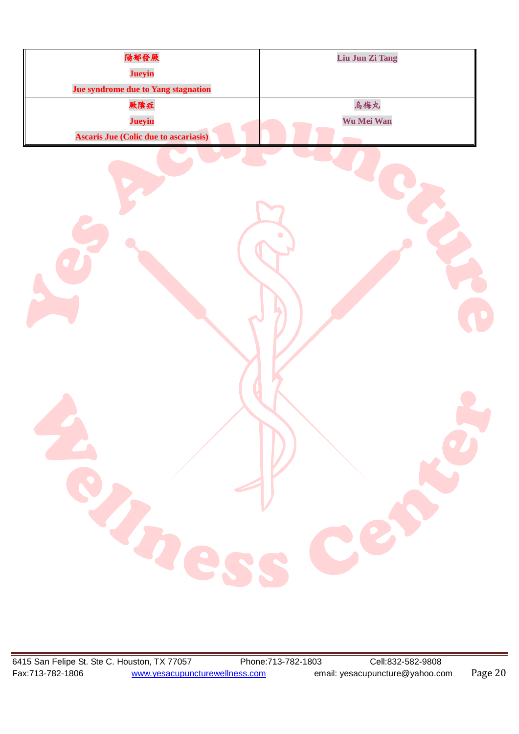